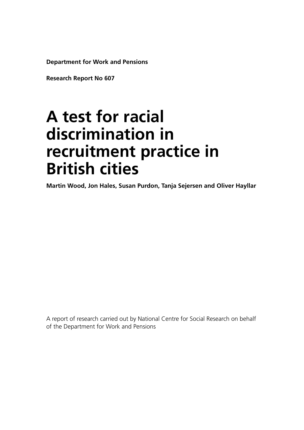**Department for Work and Pensions**

**Research Report No 607**

# **A test for racial discrimination in recruitment practice in British cities**

**Martin Wood, Jon Hales, Susan Purdon, Tanja Sejersen and Oliver Hayllar**

A report of research carried out by National Centre for Social Research on behalf of the Department for Work and Pensions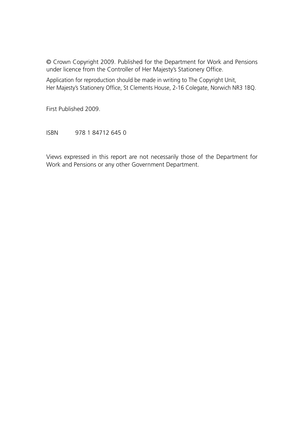© Crown Copyright 2009. Published for the Department for Work and Pensions under licence from the Controller of Her Majesty's Stationery Office.

Application for reproduction should be made in writing to The Copyright Unit, Her Majesty's Stationery Office, St Clements House, 2-16 Colegate, Norwich NR3 1BQ.

First Published 2009.

ISBN 978 1 84712 645 0

Views expressed in this report are not necessarily those of the Department for Work and Pensions or any other Government Department.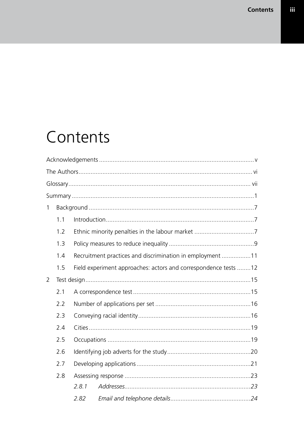# Contents

| $\mathbf{1}$   |     |       |                                                                 |  |
|----------------|-----|-------|-----------------------------------------------------------------|--|
|                | 1.1 |       |                                                                 |  |
|                | 1.2 |       |                                                                 |  |
|                | 1.3 |       |                                                                 |  |
|                | 1.4 |       | Recruitment practices and discrimination in employment 11       |  |
|                | 1.5 |       | Field experiment approaches: actors and correspondence tests 12 |  |
| $\overline{2}$ |     |       |                                                                 |  |
|                | 2.1 |       |                                                                 |  |
|                | 2.2 |       |                                                                 |  |
|                | 2.3 |       |                                                                 |  |
|                | 2.4 |       |                                                                 |  |
|                | 2.5 |       |                                                                 |  |
|                | 2.6 |       |                                                                 |  |
|                | 2.7 |       |                                                                 |  |
|                | 2.8 |       |                                                                 |  |
|                |     | 2.8.1 |                                                                 |  |
|                |     | 2.82  |                                                                 |  |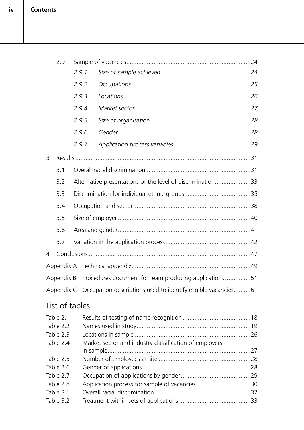|           | 2.9                    |  |                                                                          |                                                            |  |
|-----------|------------------------|--|--------------------------------------------------------------------------|------------------------------------------------------------|--|
|           |                        |  | 2.9.1                                                                    |                                                            |  |
|           |                        |  | 2.9.2                                                                    |                                                            |  |
|           |                        |  | 2.9.3                                                                    |                                                            |  |
|           |                        |  | 2.9.4                                                                    |                                                            |  |
|           |                        |  | 2.9.5                                                                    |                                                            |  |
|           |                        |  | 2.9.6                                                                    |                                                            |  |
|           |                        |  | 2.9.7                                                                    |                                                            |  |
| 3         |                        |  |                                                                          |                                                            |  |
|           | 3.1                    |  |                                                                          |                                                            |  |
|           | 3.2                    |  |                                                                          | Alternative presentations of the level of discrimination33 |  |
|           | 3.3                    |  |                                                                          |                                                            |  |
|           | 3.4                    |  |                                                                          |                                                            |  |
|           | 3.5                    |  |                                                                          |                                                            |  |
|           | 3.6                    |  |                                                                          |                                                            |  |
|           | 3.7                    |  |                                                                          |                                                            |  |
| 4         |                        |  |                                                                          |                                                            |  |
|           |                        |  |                                                                          |                                                            |  |
|           | Appendix B             |  |                                                                          | Procedures document for team producing applications 51     |  |
|           |                        |  | Appendix C Occupation descriptions used to identify eligible vacancies61 |                                                            |  |
|           | List of tables         |  |                                                                          |                                                            |  |
|           |                        |  |                                                                          |                                                            |  |
|           | Table 2.1<br>Table 2.2 |  |                                                                          |                                                            |  |
|           | Table 2.3              |  |                                                                          |                                                            |  |
|           | Table 2.4              |  |                                                                          | Market sector and industry classification of employers     |  |
|           |                        |  |                                                                          |                                                            |  |
|           | Table 2.5              |  |                                                                          |                                                            |  |
|           | Table 2.6              |  |                                                                          |                                                            |  |
|           | Table 2.7              |  |                                                                          |                                                            |  |
|           | Table 2.8              |  |                                                                          | Application process for sample of vacancies30              |  |
|           | Table 3.1              |  |                                                                          |                                                            |  |
| Table 3.2 |                        |  |                                                                          |                                                            |  |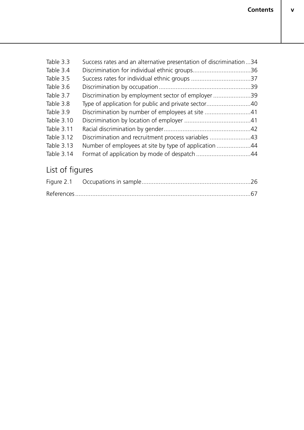**v**

| Table 3.3  | Success rates and an alternative presentation of discrimination34 |  |
|------------|-------------------------------------------------------------------|--|
| Table 3.4  |                                                                   |  |
| Table 3.5  |                                                                   |  |
| Table 3.6  |                                                                   |  |
| Table 3.7  | Discrimination by employment sector of employer39                 |  |
| Table 3.8  | Type of application for public and private sector40               |  |
| Table 3.9  | Discrimination by number of employees at site 41                  |  |
| Table 3.10 |                                                                   |  |
| Table 3.11 |                                                                   |  |
| Table 3.12 | Discrimination and recruitment process variables 43               |  |
| Table 3.13 | Number of employees at site by type of application 44             |  |
| Table 3.14 |                                                                   |  |
|            |                                                                   |  |

## List of figures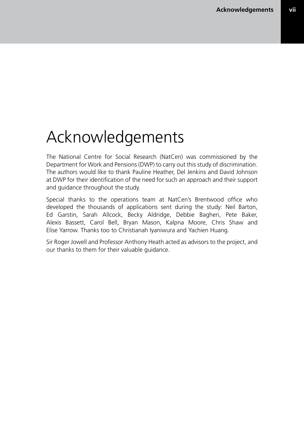# Acknowledgements

The National Centre for Social Research (NatCen) was commissioned by the Department for Work and Pensions (DWP) to carry out this study of discrimination. The authors would like to thank Pauline Heather, Del Jenkins and David Johnson at DWP for their identification of the need for such an approach and their support and guidance throughout the study.

Special thanks to the operations team at NatCen's Brentwood office who developed the thousands of applications sent during the study: Neil Barton, Ed Garstin, Sarah Allcock, Becky Aldridge, Debbie Bagheri, Pete Baker, Alexis Bassett, Carol Bell, Bryan Mason, Kalpna Moore, Chris Shaw and Elise Yarrow. Thanks too to Christianah Iyaniwura and Yachien Huang.

Sir Roger Jowell and Professor Anthony Heath acted as advisors to the project, and our thanks to them for their valuable guidance.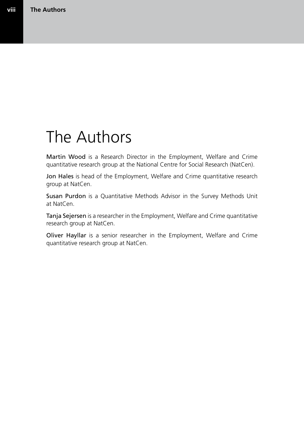## The Authors

Martin Wood is a Research Director in the Employment, Welfare and Crime quantitative research group at the National Centre for Social Research (NatCen).

Jon Hales is head of the Employment, Welfare and Crime quantitative research group at NatCen.

Susan Purdon is a Quantitative Methods Advisor in the Survey Methods Unit at NatCen.

Tanja Sejersen is a researcher in the Employment, Welfare and Crime quantitative research group at NatCen.

Oliver Hayllar is a senior researcher in the Employment, Welfare and Crime quantitative research group at NatCen.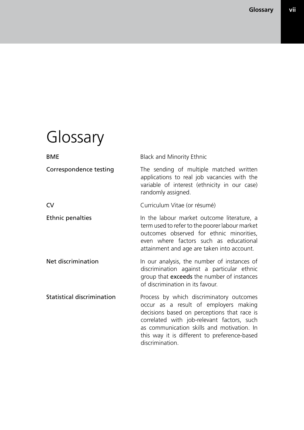# Glossary

| <b>BME</b>                        | <b>Black and Minority Ethnic</b>                                                                                                                                                                                                                                                                |
|-----------------------------------|-------------------------------------------------------------------------------------------------------------------------------------------------------------------------------------------------------------------------------------------------------------------------------------------------|
| Correspondence testing            | The sending of multiple matched written<br>applications to real job vacancies with the<br>variable of interest (ethnicity in our case)<br>randomly assigned.                                                                                                                                    |
| <b>CV</b>                         | Curriculum Vitae (or résumé)                                                                                                                                                                                                                                                                    |
| <b>Ethnic penalties</b>           | In the labour market outcome literature, a<br>term used to refer to the poorer labour market<br>outcomes observed for ethnic minorities,<br>even where factors such as educational<br>attainment and age are taken into account.                                                                |
| Net discrimination                | In our analysis, the number of instances of<br>discrimination against a particular ethnic<br>group that exceeds the number of instances<br>of discrimination in its favour.                                                                                                                     |
| <b>Statistical discrimination</b> | Process by which discriminatory outcomes<br>occur as a result of employers making<br>decisions based on perceptions that race is<br>correlated with job-relevant factors, such<br>as communication skills and motivation. In<br>this way it is different to preference-based<br>discrimination. |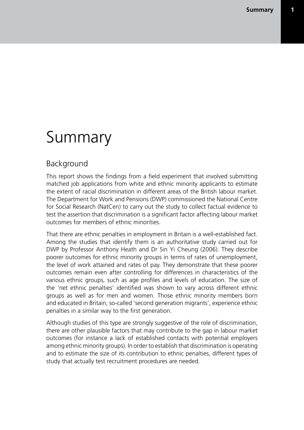## Summary

### Background

This report shows the findings from a field experiment that involved submitting matched job applications from white and ethnic minority applicants to estimate the extent of racial discrimination in different areas of the British labour market. The Department for Work and Pensions (DWP) commissioned the National Centre for Social Research (NatCen) to carry out the study to collect factual evidence to test the assertion that discrimination is a significant factor affecting labour market outcomes for members of ethnic minorities.

That there are ethnic penalties in employment in Britain is a well-established fact. Among the studies that identify them is an authoritative study carried out for DWP by Professor Anthony Heath and Dr Sin Yi Cheung (2006). They describe poorer outcomes for ethnic minority groups in terms of rates of unemployment, the level of work attained and rates of pay. They demonstrate that these poorer outcomes remain even after controlling for differences in characteristics of the various ethnic groups, such as age profiles and levels of education. The size of the 'net ethnic penalties' identified was shown to vary across different ethnic groups as well as for men and women. Those ethnic minority members born and educated in Britain, so-called 'second generation migrants', experience ethnic penalties in a similar way to the first generation.

Although studies of this type are strongly suggestive of the role of discrimination, there are other plausible factors that may contribute to the gap in labour market outcomes (for instance a lack of established contacts with potential employers among ethnic minority groups). In order to establish that discrimination is operating and to estimate the size of its contribution to ethnic penalties, different types of study that actually test recruitment procedures are needed.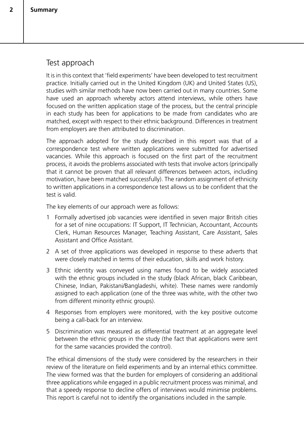## Test approach

It is in this context that 'field experiments' have been developed to test recruitment practice. Initially carried out in the United Kingdom (UK) and United States (US), studies with similar methods have now been carried out in many countries. Some have used an approach whereby actors attend interviews, while others have focused on the written application stage of the process, but the central principle in each study has been for applications to be made from candidates who are matched, except with respect to their ethnic background. Differences in treatment from employers are then attributed to discrimination.

The approach adopted for the study described in this report was that of a correspondence test where written applications were submitted for advertised vacancies. While this approach is focused on the first part of the recruitment process, it avoids the problems associated with tests that involve actors (principally that it cannot be proven that all relevant differences between actors, including motivation, have been matched successfully). The random assignment of ethnicity to written applications in a correspondence test allows us to be confident that the test is valid.

The key elements of our approach were as follows:

- 1 Formally advertised job vacancies were identified in seven major British cities for a set of nine occupations: IT Support, IT Technician, Accountant, Accounts Clerk, Human Resources Manager, Teaching Assistant, Care Assistant, Sales Assistant and Office Assistant.
- 2 A set of three applications was developed in response to these adverts that were closely matched in terms of their education, skills and work history.
- 3 Ethnic identity was conveyed using names found to be widely associated with the ethnic groups included in the study (black African, black Caribbean, Chinese, Indian, Pakistani/Bangladeshi, white). These names were randomly assigned to each application (one of the three was white, with the other two from different minority ethnic groups).
- 4 Responses from employers were monitored, with the key positive outcome being a call-back for an interview.
- 5 Discrimination was measured as differential treatment at an aggregate level between the ethnic groups in the study (the fact that applications were sent for the same vacancies provided the control).

The ethical dimensions of the study were considered by the researchers in their review of the literature on field experiments and by an internal ethics committee. The view formed was that the burden for employers of considering an additional three applications while engaged in a public recruitment process was minimal, and that a speedy response to decline offers of interviews would minimise problems. This report is careful not to identify the organisations included in the sample.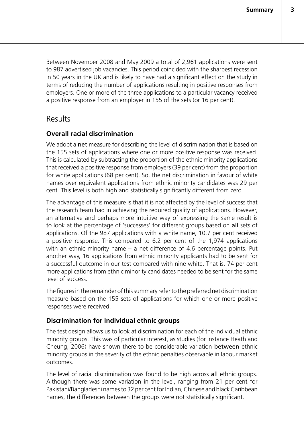Between November 2008 and May 2009 a total of 2,961 applications were sent to 987 advertised job vacancies. This period coincided with the sharpest recession in 50 years in the UK and is likely to have had a significant effect on the study in terms of reducing the number of applications resulting in positive responses from employers. One or more of the three applications to a particular vacancy received a positive response from an employer in 155 of the sets (or 16 per cent).

#### Results

#### **Overall racial discrimination**

We adopt a net measure for describing the level of discrimination that is based on the 155 sets of applications where one or more positive response was received. This is calculated by subtracting the proportion of the ethnic minority applications that received a positive response from employers (39 per cent) from the proportion for white applications (68 per cent). So, the net discrimination in favour of white names over equivalent applications from ethnic minority candidates was 29 per cent. This level is both high and statistically significantly different from zero.

The advantage of this measure is that it is not affected by the level of success that the research team had in achieving the required quality of applications. However, an alternative and perhaps more intuitive way of expressing the same result is to look at the percentage of 'successes' for different groups based on all sets of applications. Of the 987 applications with a white name, 10.7 per cent received a positive response. This compared to 6.2 per cent of the 1,974 applications with an ethnic minority name – a net difference of 4.6 percentage points. Put another way, 16 applications from ethnic minority applicants had to be sent for a successful outcome in our test compared with nine white. That is, 74 per cent more applications from ethnic minority candidates needed to be sent for the same level of success.

The figures in the remainder of this summary refer to the preferred net discrimination measure based on the 155 sets of applications for which one or more positive responses were received.

#### **Discrimination for individual ethnic groups**

The test design allows us to look at discrimination for each of the individual ethnic minority groups. This was of particular interest, as studies (for instance Heath and Cheung, 2006) have shown there to be considerable variation between ethnic minority groups in the severity of the ethnic penalties observable in labour market outcomes.

The level of racial discrimination was found to be high across all ethnic groups. Although there was some variation in the level, ranging from 21 per cent for Pakistani/Bangladeshi names to 32 per cent for Indian, Chinese and black Caribbean names, the differences between the groups were not statistically significant.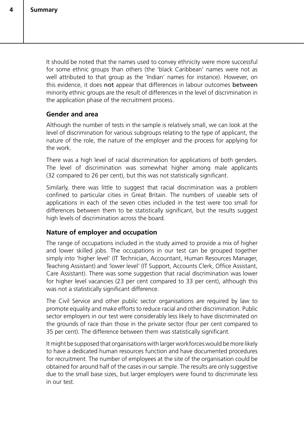It should be noted that the names used to convey ethnicity were more successful for some ethnic groups than others (the 'black Caribbean' names were not as well attributed to that group as the 'Indian' names for instance). However, on this evidence, it does not appear that differences in labour outcomes between minority ethnic groups are the result of differences in the level of discrimination in the application phase of the recruitment process.

#### **Gender and area**

Although the number of tests in the sample is relatively small, we can look at the level of discrimination for various subgroups relating to the type of applicant, the nature of the role, the nature of the employer and the process for applying for the work.

There was a high level of racial discrimination for applications of both genders. The level of discrimination was somewhat higher among male applicants (32 compared to 26 per cent), but this was not statistically significant.

Similarly, there was little to suggest that racial discrimination was a problem confined to particular cities in Great Britain. The numbers of useable sets of applications in each of the seven cities included in the test were too small for differences between them to be statistically significant, but the results suggest high levels of discrimination across the board.

#### **Nature of employer and occupation**

The range of occupations included in the study aimed to provide a mix of higher and lower skilled jobs. The occupations in our test can be grouped together simply into 'higher level' (IT Technician, Accountant, Human Resources Manager, Teaching Assistant) and 'lower level' (IT Support, Accounts Clerk, Office Assistant, Care Assistant). There was some suggestion that racial discrimination was lower for higher level vacancies (23 per cent compared to 33 per cent), although this was not a statistically significant difference.

The Civil Service and other public sector organisations are required by law to promote equality and make efforts to reduce racial and other discrimination. Public sector employers in our test were considerably less likely to have discriminated on the grounds of race than those in the private sector (four per cent compared to 35 per cent). The difference between them was statistically significant.

It might be supposed that organisations with larger workforces would be more likely to have a dedicated human resources function and have documented procedures for recruitment. The number of employees at the site of the organisation could be obtained for around half of the cases in our sample. The results are only suggestive due to the small base sizes, but larger employers were found to discriminate less in our test.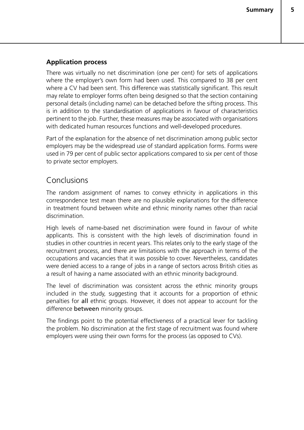**5**

#### **Application process**

There was virtually no net discrimination (one per cent) for sets of applications where the employer's own form had been used. This compared to 38 per cent where a CV had been sent. This difference was statistically significant. This result may relate to employer forms often being designed so that the section containing personal details (including name) can be detached before the sifting process. This is in addition to the standardisation of applications in favour of characteristics pertinent to the job. Further, these measures may be associated with organisations with dedicated human resources functions and well-developed procedures.

Part of the explanation for the absence of net discrimination among public sector employers may be the widespread use of standard application forms. Forms were used in 79 per cent of public sector applications compared to six per cent of those to private sector employers.

#### Conclusions

The random assignment of names to convey ethnicity in applications in this correspondence test mean there are no plausible explanations for the difference in treatment found between white and ethnic minority names other than racial discrimination.

High levels of name-based net discrimination were found in favour of white applicants. This is consistent with the high levels of discrimination found in studies in other countries in recent years. This relates only to the early stage of the recruitment process, and there are limitations with the approach in terms of the occupations and vacancies that it was possible to cover. Nevertheless, candidates were denied access to a range of jobs in a range of sectors across British cities as a result of having a name associated with an ethnic minority background.

The level of discrimination was consistent across the ethnic minority groups included in the study, suggesting that it accounts for a proportion of ethnic penalties for all ethnic groups. However, it does not appear to account for the difference **between** minority groups.

The findings point to the potential effectiveness of a practical lever for tackling the problem. No discrimination at the first stage of recruitment was found where employers were using their own forms for the process (as opposed to CVs).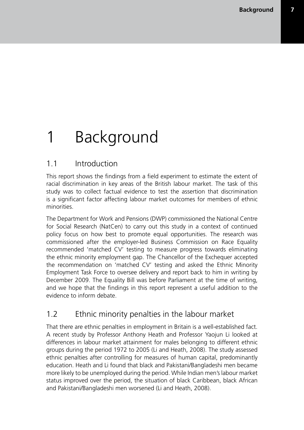# 1 Background

## 1.1 Introduction

This report shows the findings from a field experiment to estimate the extent of racial discrimination in key areas of the British labour market. The task of this study was to collect factual evidence to test the assertion that discrimination is a significant factor affecting labour market outcomes for members of ethnic minorities.

The Department for Work and Pensions (DWP) commissioned the National Centre for Social Research (NatCen) to carry out this study in a context of continued policy focus on how best to promote equal opportunities. The research was commissioned after the employer-led Business Commission on Race Equality recommended 'matched CV' testing to measure progress towards eliminating the ethnic minority employment gap. The Chancellor of the Exchequer accepted the recommendation on 'matched CV' testing and asked the Ethnic Minority Employment Task Force to oversee delivery and report back to him in writing by December 2009. The Equality Bill was before Parliament at the time of writing, and we hope that the findings in this report represent a useful addition to the evidence to inform debate.

## 1.2 Ethnic minority penalties in the labour market

That there are ethnic penalties in employment in Britain is a well-established fact. A recent study by Professor Anthony Heath and Professor Yaojun Li looked at differences in labour market attainment for males belonging to different ethnic groups during the period 1972 to 2005 (Li and Heath, 2008). The study assessed ethnic penalties after controlling for measures of human capital, predominantly education. Heath and Li found that black and Pakistani/Bangladeshi men became more likely to be unemployed during the period. While Indian men's labour market status improved over the period, the situation of black Caribbean, black African and Pakistani/Bangladeshi men worsened (Li and Heath, 2008).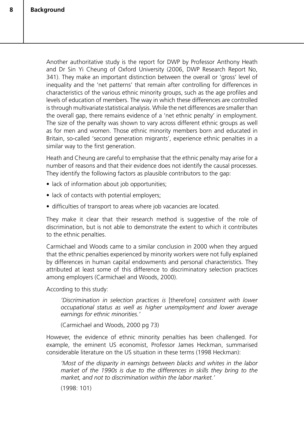Another authoritative study is the report for DWP by Professor Anthony Heath and Dr Sin Yi Cheung of Oxford University (2006, DWP Research Report No, 341). They make an important distinction between the overall or 'gross' level of inequality and the 'net patterns' that remain after controlling for differences in characteristics of the various ethnic minority groups, such as the age profiles and levels of education of members. The way in which these differences are controlled is through multivariate statistical analysis. While the net differences are smaller than the overall gap, there remains evidence of a 'net ethnic penalty' in employment. The size of the penalty was shown to vary across different ethnic groups as well as for men and women. Those ethnic minority members born and educated in Britain, so-called 'second generation migrants', experience ethnic penalties in a similar way to the first generation.

Heath and Cheung are careful to emphasise that the ethnic penalty may arise for a number of reasons and that their evidence does not identify the causal processes. They identify the following factors as plausible contributors to the gap:

- lack of information about job opportunities;
- lack of contacts with potential employers;
- difficulties of transport to areas where job vacancies are located.

They make it clear that their research method is suggestive of the role of discrimination, but is not able to demonstrate the extent to which it contributes to the ethnic penalties.

Carmichael and Woods came to a similar conclusion in 2000 when they argued that the ethnic penalties experienced by minority workers were not fully explained by differences in human capital endowments and personal characteristics. They attributed at least some of this difference to discriminatory selection practices among employers (Carmichael and Woods, 2000).

According to this study:

*'Discrimination in selection practices is* [therefore] *consistent with lower occupational status as well as higher unemployment and lower average earnings for ethnic minorities.'*

(Carmichael and Woods, 2000 pg 73)

However, the evidence of ethnic minority penalties has been challenged. For example, the eminent US economist, Professor James Heckman, summarised considerable literature on the US situation in these terms (1998 Heckman):

*'Most of the disparity in earnings between blacks and whites in the labor market of the 1990s is due to the differences in skills they bring to the market, and not to discrimination within the labor market.'*

(1998: 101)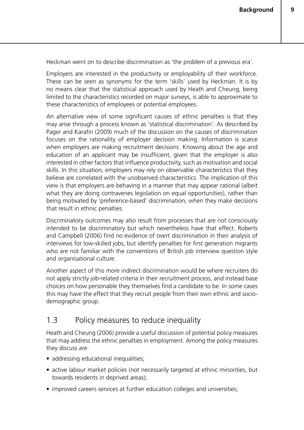**9**

Heckman went on to describe discrimination as 'the problem of a previous era'.

Employers are interested in the productivity or employability of their workforce. These can be seen as synonyms for the term 'skills' used by Heckman. It is by no means clear that the statistical approach used by Heath and Cheung, being limited to the characteristics recorded on major surveys, is able to approximate to these characteristics of employees or potential employees.

An alternative view of some significant causes of ethnic penalties is that they may arise through a process known as 'statistical discrimination'. As described by Pager and Karafin (2009) much of the discussion on the causes of discrimination focuses on the rationality of employer decision making. Information is scarce when employers are making recruitment decisions. Knowing about the age and education of an applicant may be insufficient, given that the employer is also interested in other factors that influence productivity, such as motivation and social skills. In this situation, employers may rely on observable characteristics that they believe are correlated with the unobserved characteristics. The implication of this view is that employers are behaving in a manner that may appear rational (albeit what they are doing contravenes legislation on equal opportunities), rather than being motivated by 'preference-based' discrimination, when they make decisions that result in ethnic penalties.

Discriminatory outcomes may also result from processes that are not consciously intended to be discriminatory but which nevertheless have that effect. Roberts and Campbell (2006) find no evidence of overt discrimination in their analysis of interviews for low-skilled jobs, but identify penalties for first generation migrants who are not familiar with the conventions of British job interview question style and organisational culture.

Another aspect of this more indirect discrimination would be where recruiters do not apply strictly job-related criteria in their recruitment process, and instead base choices on how personable they themselves find a candidate to be. In some cases this may have the effect that they recruit people from their own ethnic and sociodemographic group.

## 1.3 Policy measures to reduce inequality

Heath and Cheung (2006) provide a useful discussion of potential policy measures that may address the ethnic penalties in employment. Among the policy measures they discuss are:

- addressing educational inequalities;
- active labour market policies (not necessarily targeted at ethnic minorities, but towards residents in deprived areas);
- improved careers services at further education colleges and universities;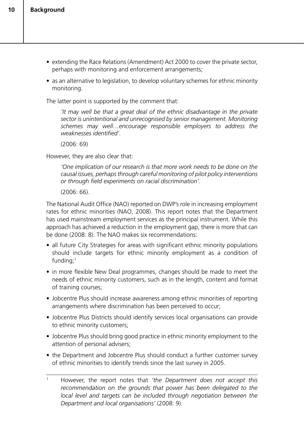- extending the Race Relations (Amendment) Act 2000 to cover the private sector, perhaps with monitoring and enforcement arrangements;
- as an alternative to legislation, to develop voluntary schemes for ethnic minority monitoring.

The latter point is supported by the comment that:

*'It may well be that a great deal of the ethnic disadvantage in the private sector is unintentional and unrecognised by senior management. Monitoring schemes may well…encourage responsible employers to address the weaknesses identified'.*

 $(2006: 69)$ 

However, they are also clear that:

*'One implication of our research is that more work needs to be done on the causal issues, perhapsthrough careful monitoring of pilot policy interventions or through field experiments on racial discrimination'.*

(2006: 66).

The National Audit Office (NAO) reported on DWP's role in increasing employment rates for ethnic minorities (NAO, 2008). This report notes that the Department has used mainstream employment services as the principal instrument. While this approach has achieved a reduction in the employment gap, there is more that can be done (2008: 8). The NAO makes six recommendations:

- all future City Strategies for areas with significant ethnic minority populations should include targets for ethnic minority employment as a condition of funding;1
- in more flexible New Deal programmes, changes should be made to meet the needs of ethnic minority customers, such as in the length, content and format of training courses;
- Jobcentre Plus should increase awareness among ethnic minorities of reporting arrangements where discrimination has been perceived to occur;
- Jobcentre Plus Districts should identify services local organisations can provide to ethnic minority customers;
- Jobcentre Plus should bring good practice in ethnic minority employment to the attention of personal advisers;
- the Department and Jobcentre Plus should conduct a further customer survey of ethnic minorities to identify trends since the last survey in 2005.

<sup>1</sup> However, the report notes that *'the Department does not accept this recommendation on the grounds that power has been delegated to the local level and targets can be included through negotiation between the Department and local organisations'* (2008: 9).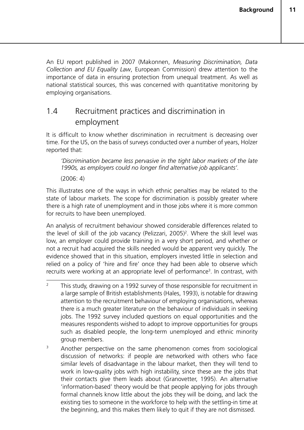An EU report published in 2007 (Makonnen, *Measuring Discrimination, Data Collection and EU Equality Law*, European Commission) drew attention to the importance of data in ensuring protection from unequal treatment. As well as national statistical sources, this was concerned with quantitative monitoring by employing organisations.

## 1.4 Recruitment practices and discrimination in employment

It is difficult to know whether discrimination in recruitment is decreasing over time. For the US, on the basis of surveys conducted over a number of years, Holzer reported that:

*'Discrimination became less pervasive in the tight labor markets of the late 1990s, as employers could no longer find alternative job applicants'.*

(2006: 4)

This illustrates one of the ways in which ethnic penalties may be related to the state of labour markets. The scope for discrimination is possibly greater where there is a high rate of unemployment and in those jobs where it is more common for recruits to have been unemployed.

An analysis of recruitment behaviour showed considerable differences related to the level of skill of the job vacancy (Pelizzari, 2005)<sup>2</sup>. Where the skill level was low, an employer could provide training in a very short period, and whether or not a recruit had acquired the skills needed would be apparent very quickly. The evidence showed that in this situation, employers invested little in selection and relied on a policy of 'hire and fire' once they had been able to observe which recruits were working at an appropriate level of performance<sup>3</sup>. In contrast, with

- <sup>2</sup> This study, drawing on a 1992 survey of those responsible for recruitment in a large sample of British establishments (Hales, 1993), is notable for drawing attention to the recruitment behaviour of employing organisations, whereas there is a much greater literature on the behaviour of individuals in seeking jobs. The 1992 survey included questions on equal opportunities and the measures respondents wished to adopt to improve opportunities for groups such as disabled people, the long-term unemployed and ethnic minority group members.
- <sup>3</sup> Another perspective on the same phenomenon comes from sociological discussion of networks: if people are networked with others who face similar levels of disadvantage in the labour market, then they will tend to work in low-quality jobs with high instability, since these are the jobs that their contacts give them leads about (Granovetter, 1995). An alternative 'information-based' theory would be that people applying for jobs through formal channels know little about the jobs they will be doing, and lack the existing ties to someone in the workforce to help with the settling-in time at the beginning, and this makes them likely to quit if they are not dismissed.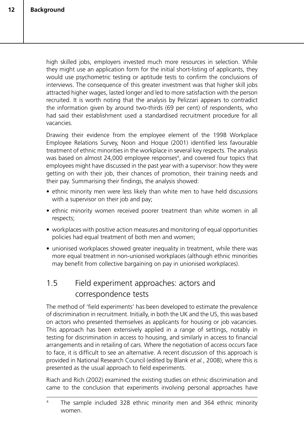high skilled jobs, employers invested much more resources in selection. While they might use an application form for the initial short-listing of applicants, they would use psychometric testing or aptitude tests to confirm the conclusions of interviews. The consequence of this greater investment was that higher skill jobs attracted higher wages, lasted longer and led to more satisfaction with the person recruited. It is worth noting that the analysis by Pelizzari appears to contradict the information given by around two-thirds (69 per cent) of respondents, who had said their establishment used a standardised recruitment procedure for all vacancies.

Drawing their evidence from the employee element of the 1998 Workplace Employee Relations Survey, Noon and Hoque (2001) identified less favourable treatment of ethnic minorities in the workplace in several key respects. The analysis was based on almost 24,000 employee responses<sup>4</sup>, and covered four topics that employees might have discussed in the past year with a supervisor: how they were getting on with their job, their chances of promotion, their training needs and their pay. Summarising their findings, the analysis showed:

- ethnic minority men were less likely than white men to have held discussions with a supervisor on their job and pay;
- ethnic minority women received poorer treatment than white women in all respects;
- workplaces with positive action measures and monitoring of equal opportunities policies had equal treatment of both men and women;
- unionised workplaces showed greater inequality in treatment, while there was more equal treatment in non-unionised workplaces (although ethnic minorities may benefit from collective bargaining on pay in unionised workplaces).

## 1.5 Field experiment approaches: actors and correspondence tests

The method of 'field experiments' has been developed to estimate the prevalence of discrimination in recruitment. Initially, in both the UK and the US, this was based on actors who presented themselves as applicants for housing or job vacancies. This approach has been extensively applied in a range of settings, notably in testing for discrimination in access to housing, and similarly in access to financial arrangements and in retailing of cars. Where the negotiation of access occurs face to face, it is difficult to see an alternative. A recent discussion of this approach is provided in National Research Council (edited by Blank *et aI.*, 2008), where this is presented as the usual approach to field experiments.

Riach and Rich (2002) examined the existing studies on ethnic discrimination and came to the conclusion that experiments involving personal approaches have

<sup>4</sup> The sample included 328 ethnic minority men and 364 ethnic minority women.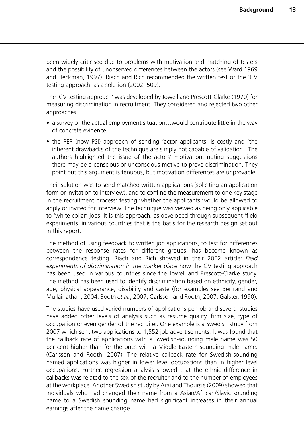been widely criticised due to problems with motivation and matching of testers and the possibility of unobserved differences between the actors (see Ward 1969 and Heckman, 1997). Riach and Rich recommended the written test or the 'CV testing approach' as a solution (2002, 509).

The 'CV testing approach' was developed by Jowell and Prescott-Clarke (1970) for measuring discrimination in recruitment. They considered and rejected two other approaches:

- a survey of the actual employment situation…would contribute little in the way of concrete evidence;
- the PEP (now PSI) approach of sending 'actor applicants' is costly and 'the inherent drawbacks of the technique are simply not capable of validation'. The authors highlighted the issue of the actors' motivation, noting suggestions there may be a conscious or unconscious motive to prove discrimination. They point out this argument is tenuous, but motivation differences are unprovable.

Their solution was to send matched written applications (soliciting an application form or invitation to interview), and to confine the measurement to one key stage in the recruitment process: testing whether the applicants would be allowed to apply or invited for interview. The technique was viewed as being only applicable to 'white collar' jobs. It is this approach, as developed through subsequent 'field experiments' in various countries that is the basis for the research design set out in this report.

The method of using feedback to written job applications, to test for differences between the response rates for different groups, has become known as correspondence testing. Riach and Rich showed in their 2002 article: *Field experiments of discrimination in the market place* how the CV testing approach has been used in various countries since the Jowell and Prescott-Clarke study. The method has been used to identify discrimination based on ethnicity, gender, age, physical appearance, disability and caste (for examples see Bertrand and Mullainathan, 2004; Booth *et al.*, 2007; Carlsson and Rooth, 2007; Galster, 1990).

The studies have used varied numbers of applications per job and several studies have added other levels of analysis such as résumé quality, firm size, type of occupation or even gender of the recruiter. One example is a Swedish study from 2007 which sent two applications to 1,552 job advertisements. It was found that the callback rate of applications with a Swedish-sounding male name was 50 per cent higher than for the ones with a Middle Eastern-sounding male name. (Carlsson and Rooth, 2007). The relative callback rate for Swedish-sounding named applications was higher in lower level occupations than in higher level occupations. Further, regression analysis showed that the ethnic difference in callbacks was related to the sex of the recruiter and to the number of employees at the workplace. Another Swedish study by Arai and Thoursie (2009) showed that individuals who had changed their name from a Asian/African/Slavic sounding name to a Swedish sounding name had significant increases in their annual earnings after the name change.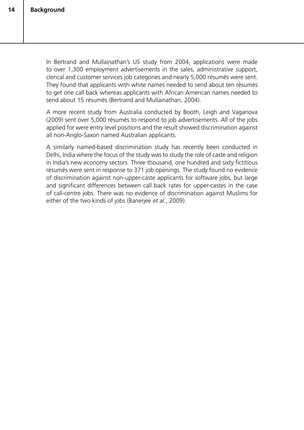In Bertrand and Mullainathan's US study from 2004, applications were made to over 1,300 employment advertisements in the sales, administrative support, clerical and customer services job categories and nearly 5,000 résumés were sent. They found that applicants with white names needed to send about ten résumés to get one call back whereas applicants with African American names needed to send about 15 résumés (Bertrand and Mullainathan, 2004).

A more recent study from Australia conducted by Booth, Leigh and Vaganova (2009) sent over 5,000 résumés to respond to job advertisements. All of the jobs applied for were entry level positions and the result showed discrimination against all non-Anglo-Saxon named Australian applicants.

A similarly named-based discrimination study has recently been conducted in Delhi, India where the focus of the study was to study the role of caste and religion in India's new economy sectors. Three thousand, one hundred and sixty fictitious résumés were sent in response to 371 job openings. The study found no evidence of discrimination against non-upper-caste applicants for software jobs, but large and significant differences between call back rates for upper-castes in the case of call-centre jobs. There was no evidence of discrimination against Muslims for either of the two kinds of jobs (Banerjee *et al.*, 2009).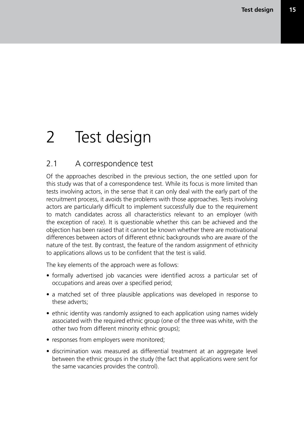# 2 Test design

## 2.1 A correspondence test

Of the approaches described in the previous section, the one settled upon for this study was that of a correspondence test. While its focus is more limited than tests involving actors, in the sense that it can only deal with the early part of the recruitment process, it avoids the problems with those approaches. Tests involving actors are particularly difficult to implement successfully due to the requirement to match candidates across all characteristics relevant to an employer (with the exception of race). It is questionable whether this can be achieved and the objection has been raised that it cannot be known whether there are motivational differences between actors of different ethnic backgrounds who are aware of the nature of the test. By contrast, the feature of the random assignment of ethnicity to applications allows us to be confident that the test is valid.

The key elements of the approach were as follows:

- formally advertised job vacancies were identified across a particular set of occupations and areas over a specified period;
- a matched set of three plausible applications was developed in response to these adverts;
- ethnic identity was randomly assigned to each application using names widely associated with the required ethnic group (one of the three was white, with the other two from different minority ethnic groups);
- responses from employers were monitored;
- discrimination was measured as differential treatment at an aggregate level between the ethnic groups in the study (the fact that applications were sent for the same vacancies provides the control).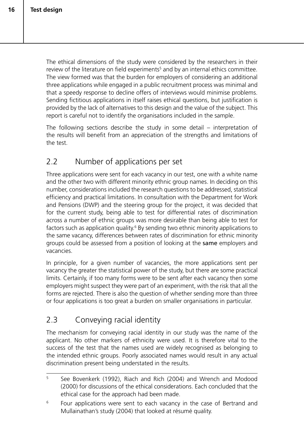The ethical dimensions of the study were considered by the researchers in their review of the literature on field experiments<sup>5</sup> and by an internal ethics committee. The view formed was that the burden for employers of considering an additional three applications while engaged in a public recruitment process was minimal and that a speedy response to decline offers of interviews would minimise problems. Sending fictitious applications in itself raises ethical questions, but justification is provided by the lack of alternatives to this design and the value of the subject. This report is careful not to identify the organisations included in the sample.

The following sections describe the study in some detail – interpretation of the results will benefit from an appreciation of the strengths and limitations of the test.

## 2.2 Number of applications per set

Three applications were sent for each vacancy in our test, one with a white name and the other two with different minority ethnic group names. In deciding on this number, considerations included the research questions to be addressed, statistical efficiency and practical limitations. In consultation with the Department for Work and Pensions (DWP) and the steering group for the project, it was decided that for the current study, being able to test for differential rates of discrimination across a number of ethnic groups was more desirable than being able to test for factors such as application quality.<sup>6</sup> By sending two ethnic minority applications to the same vacancy, differences between rates of discrimination for ethnic minority groups could be assessed from a position of looking at the same employers and vacancies.

In principle, for a given number of vacancies, the more applications sent per vacancy the greater the statistical power of the study, but there are some practical limits. Certainly, if too many forms were to be sent after each vacancy then some employers might suspect they were part of an experiment, with the risk that all the forms are rejected. There is also the question of whether sending more than three or four applications is too great a burden on smaller organisations in particular.

## 2.3 Conveying racial identity

The mechanism for conveying racial identity in our study was the name of the applicant. No other markers of ethnicity were used. It is therefore vital to the success of the test that the names used are widely recognised as belonging to the intended ethnic groups. Poorly associated names would result in any actual discrimination present being understated in the results.

<sup>5</sup> See Bovenkerk (1992), Riach and Rich (2004) and Wrench and Modood (2000) for discussions of the ethical considerations. Each concluded that the ethical case for the approach had been made.

<sup>&</sup>lt;sup>6</sup> Four applications were sent to each vacancy in the case of Bertrand and Mullainathan's study (2004) that looked at résumé quality.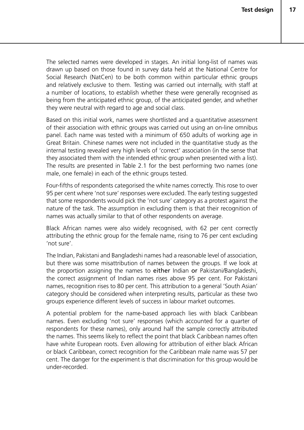The selected names were developed in stages. An initial long-list of names was drawn up based on those found in survey data held at the National Centre for Social Research (NatCen) to be both common within particular ethnic groups and relatively exclusive to them. Testing was carried out internally, with staff at a number of locations, to establish whether these were generally recognised as being from the anticipated ethnic group, of the anticipated gender, and whether they were neutral with regard to age and social class.

Based on this initial work, names were shortlisted and a quantitative assessment of their association with ethnic groups was carried out using an on-line omnibus panel. Each name was tested with a minimum of 650 adults of working age in Great Britain. Chinese names were not included in the quantitative study as the internal testing revealed very high levels of 'correct' association (in the sense that they associated them with the intended ethnic group when presented with a list). The results are presented in Table 2.1 for the best performing two names (one male, one female) in each of the ethnic groups tested.

Four-fifths of respondents categorised the white names correctly. This rose to over 95 per cent where 'not sure' responses were excluded. The early testing suggested that some respondents would pick the 'not sure' category as a protest against the nature of the task. The assumption in excluding them is that their recognition of names was actually similar to that of other respondents on average.

Black African names were also widely recognised, with 62 per cent correctly attributing the ethnic group for the female name, rising to 76 per cent excluding 'not sure'.

The Indian, Pakistani and Bangladeshi names had a reasonable level of association, but there was some misattribution of names between the groups. If we look at the proportion assigning the names to either Indian or Pakistani/Bangladeshi, the correct assignment of Indian names rises above 95 per cent. For Pakistani names, recognition rises to 80 per cent. This attribution to a general 'South Asian' category should be considered when interpreting results, particular as these two groups experience different levels of success in labour market outcomes.

A potential problem for the name-based approach lies with black Caribbean names. Even excluding 'not sure' responses (which accounted for a quarter of respondents for these names), only around half the sample correctly attributed the names. This seems likely to reflect the point that black Caribbean names often have white European roots. Even allowing for attribution of either black African or black Caribbean, correct recognition for the Caribbean male name was 57 per cent. The danger for the experiment is that discrimination for this group would be under-recorded.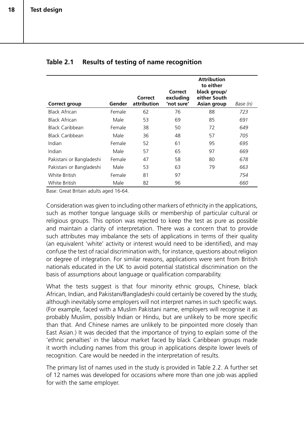| <b>Correct group</b>     | Gender | Correct<br>attribution | Correct<br>excluding<br>'not sure' | <b>Attribution</b><br>to either<br>black group/<br>either South<br>Asian group | Base (n) |
|--------------------------|--------|------------------------|------------------------------------|--------------------------------------------------------------------------------|----------|
| Black African            | Female | 62                     | 76                                 | 88                                                                             | 723      |
| Black African            | Male   | 53                     | 69                                 | 85                                                                             | 691      |
| Black Caribbean          | Female | 38                     | 50                                 | 72                                                                             | 649      |
| Black Caribbean          | Male   | 36                     | 48                                 | 57                                                                             | 705      |
| Indian                   | Female | 52                     | 61                                 | 95                                                                             | 695      |
| Indian                   | Male   | 57                     | 65                                 | 97                                                                             | 669      |
| Pakistani or Bangladeshi | Female | 47                     | 58                                 | 80                                                                             | 678      |
| Pakistani or Bangladeshi | Male   | 53                     | 63                                 | 79                                                                             | 663      |
| White British            | Female | 81                     | 97                                 |                                                                                | 754      |
| White British            | Male   | 82                     | 96                                 |                                                                                | 660      |

#### **Table 2.1 Results of testing of name recognition**

Base: Great Britain adults aged 16-64.

Consideration was given to including other markers of ethnicity in the applications, such as mother tongue language skills or membership of particular cultural or religious groups. This option was rejected to keep the test as pure as possible and maintain a clarity of interpretation. There was a concern that to provide such attributes may imbalance the sets of applications in terms of their quality (an equivalent 'white' activity or interest would need to be identified), and may confuse the test of racial discrimination with, for instance, questions about religion or degree of integration. For similar reasons, applications were sent from British nationals educated in the UK to avoid potential statistical discrimination on the basis of assumptions about language or qualification comparability.

What the tests suggest is that four minority ethnic groups, Chinese, black African, Indian, and Pakistani/Bangladeshi could certainly be covered by the study, although inevitably some employers will not interpret names in such specific ways. (For example, faced with a Muslim Pakistani name, employers will recognise it as probably Muslim, possibly Indian or Hindu, but are unlikely to be more specific than that. And Chinese names are unlikely to be pinpointed more closely than East Asian.) It was decided that the importance of trying to explain some of the 'ethnic penalties' in the labour market faced by black Caribbean groups made it worth including names from this group in applications despite lower levels of recognition. Care would be needed in the interpretation of results.

The primary list of names used in the study is provided in Table 2.2. A further set of 12 names was developed for occasions where more than one job was applied for with the same employer.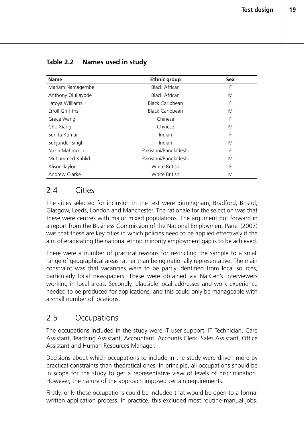| <b>Name</b>       | <b>Ethnic group</b>   | <b>Sex</b> |
|-------------------|-----------------------|------------|
| Mariam Namagembe  | <b>Black African</b>  | F          |
| Anthony Olukayode | <b>Black African</b>  | M          |
| Latoya Williams   | Black Caribbean       | F          |
| Erroll Griffiths  | Black Caribbean       | M          |
| Grace Wang        | Chinese               | F          |
| Cho Xiang         | Chinese               | M          |
| Sunita Kumar      | Indian                | F          |
| Sukjunder Singh   | Indian                | M          |
| Nazia Mahmood     | Pakistani/Bangladeshi | F          |
| Muhammed Kahlid   | Pakistani/Bangladeshi | M          |
| Alison Taylor     | White British         | F          |
| Andrew Clarke     | White British         | M          |

#### **Table 2.2 Names used in study**

## 2.4 Cities

The cities selected for inclusion in the test were Birmingham, Bradford, Bristol, Glasgow, Leeds, London and Manchester. The rationale for the selection was that these were centres with major mixed populations. The argument put forward in a report from the Business Commission of the National Employment Panel (2007) was that these are key cities in which policies need to be applied effectively if the aim of eradicating the national ethnic minority employment gap is to be achieved.

There were a number of practical reasons for restricting the sample to a small range of geographical areas rather than being nationally representative. The main constraint was that vacancies were to be partly identified from local sources, particularly local newspapers. These were obtained via NatCen's interviewers working in local areas. Secondly, plausible local addresses and work experience needed to be produced for applications, and this could only be manageable with a small number of locations.

## 2.5 Occupations

The occupations included in the study were IT user support, IT Technician, Care Assistant, Teaching Assistant, Accountant, Accounts Clerk, Sales Assistant, Office Assistant and Human Resources Manager.

Decisions about which occupations to include in the study were driven more by practical constraints than theoretical ones. In principle, all occupations should be in scope for the study to get a representative view of levels of discrimination. However, the nature of the approach imposed certain requirements.

Firstly, only those occupations could be included that would be open to a formal written application process. In practice, this excluded most routine manual jobs.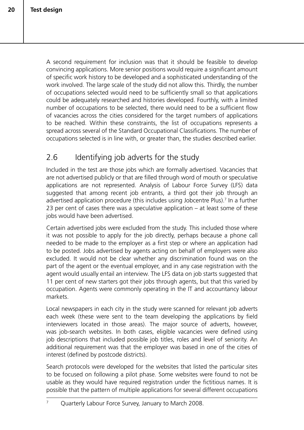A second requirement for inclusion was that it should be feasible to develop convincing applications. More senior positions would require a significant amount of specific work history to be developed and a sophisticated understanding of the work involved. The large scale of the study did not allow this. Thirdly, the number of occupations selected would need to be sufficiently small so that applications could be adequately researched and histories developed. Fourthly, with a limited number of occupations to be selected, there would need to be a sufficient flow of vacancies across the cities considered for the target numbers of applications to be reached. Within these constraints, the list of occupations represents a spread across several of the Standard Occupational Classifications. The number of occupations selected is in line with, or greater than, the studies described earlier.

## 2.6 Identifying job adverts for the study

Included in the test are those jobs which are formally advertised. Vacancies that are not advertised publicly or that are filled through word of mouth or speculative applications are not represented. Analysis of Labour Force Survey (LFS) data suggested that among recent job entrants, a third got their job through an advertised application procedure (this includes using Jobcentre Plus).7 In a further 23 per cent of cases there was a speculative application – at least some of these jobs would have been advertised.

Certain advertised jobs were excluded from the study. This included those where it was not possible to apply for the job directly, perhaps because a phone call needed to be made to the employer as a first step or where an application had to be posted. Jobs advertised by agents acting on behalf of employers were also excluded. It would not be clear whether any discrimination found was on the part of the agent or the eventual employer, and in any case registration with the agent would usually entail an interview. The LFS data on job starts suggested that 11 per cent of new starters got their jobs through agents, but that this varied by occupation. Agents were commonly operating in the IT and accountancy labour markets.

Local newspapers in each city in the study were scanned for relevant job adverts each week (these were sent to the team developing the applications by field interviewers located in those areas). The major source of adverts, however, was job-search websites. In both cases, eligible vacancies were defined using job descriptions that included possible job titles, roles and level of seniority. An additional requirement was that the employer was based in one of the cities of interest (defined by postcode districts).

Search protocols were developed for the websites that listed the particular sites to be focused on following a pilot phase. Some websites were found to not be usable as they would have required registration under the fictitious names. It is possible that the pattern of multiple applications for several different occupations

<sup>&</sup>lt;sup>7</sup> Quarterly Labour Force Survey, January to March 2008.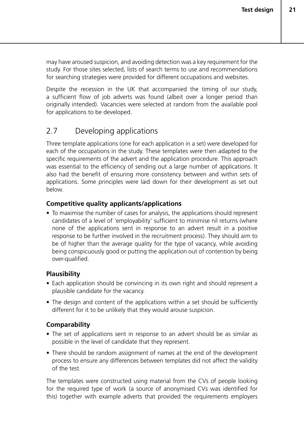may have aroused suspicion, and avoiding detection was a key requirement for the study. For those sites selected, lists of search terms to use and recommendations for searching strategies were provided for different occupations and websites.

Despite the recession in the UK that accompanied the timing of our study, a sufficient flow of job adverts was found (albeit over a longer period than originally intended). Vacancies were selected at random from the available pool for applications to be developed.

## 2.7 Developing applications

Three template applications (one for each application in a set) were developed for each of the occupations in the study. These templates were then adapted to the specific requirements of the advert and the application procedure. This approach was essential to the efficiency of sending out a large number of applications. It also had the benefit of ensuring more consistency between and within sets of applications. Some principles were laid down for their development as set out below.

#### **Competitive quality applicants/applications**

• To maximise the number of cases for analysis, the applications should represent candidates of a level of 'employability' sufficient to minimise nil returns (where none of the applications sent in response to an advert result in a positive response to be further involved in the recruitment process). They should aim to be of higher than the average quality for the type of vacancy, while avoiding being conspicuously good or putting the application out of contention by being over-qualified.

#### **Plausibility**

- Each application should be convincing in its own right and should represent a plausible candidate for the vacancy.
- The design and content of the applications within a set should be sufficiently different for it to be unlikely that they would arouse suspicion.

### **Comparability**

- The set of applications sent in response to an advert should be as similar as possible in the level of candidate that they represent.
- There should be random assignment of names at the end of the development process to ensure any differences between templates did not affect the validity of the test.

The templates were constructed using material from the CVs of people looking for the required type of work (a source of anonymised CVs was identified for this) together with example adverts that provided the requirements employers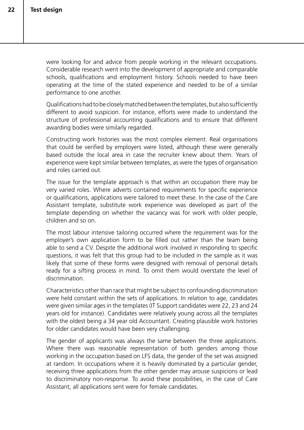were looking for and advice from people working in the relevant occupations. Considerable research went into the development of appropriate and comparable schools, qualifications and employment history. Schools needed to have been operating at the time of the stated experience and needed to be of a similar performance to one another.

Qualifications had to be closely matched between the templates, but also sufficiently different to avoid suspicion. For instance, efforts were made to understand the structure of professional accounting qualifications and to ensure that different awarding bodies were similarly regarded.

Constructing work histories was the most complex element. Real organisations that could be verified by employers were listed, although these were generally based outside the local area in case the recruiter knew about them. Years of experience were kept similar between templates, as were the types of organisation and roles carried out.

The issue for the template approach is that within an occupation there may be very varied roles. Where adverts contained requirements for specific experience or qualifications, applications were tailored to meet these. In the case of the Care Assistant template, substitute work experience was developed as part of the template depending on whether the vacancy was for work with older people, children and so on.

The most labour intensive tailoring occurred where the requirement was for the employer's own application form to be filled out rather than the team being able to send a CV. Despite the additional work involved in responding to specific questions, it was felt that this group had to be included in the sample as it was likely that some of these forms were designed with removal of personal details ready for a sifting process in mind. To omit them would overstate the level of discrimination.

Characteristics other than race that might be subject to confounding discrimination were held constant within the sets of applications. In relation to age, candidates were given similar ages in the templates (IT Support candidates were 22, 23 and 24 years old for instance). Candidates were relatively young across all the templates with the oldest being a 34 year old Accountant. Creating plausible work histories for older candidates would have been very challenging.

The gender of applicants was always the same between the three applications. Where there was reasonable representation of both genders among those working in the occupation based on LFS data, the gender of the set was assigned at random. In occupations where it is heavily dominated by a particular gender, receiving three applications from the other gender may arouse suspicions or lead to discriminatory non-response. To avoid these possibilities, in the case of Care Assistant, all applications sent were for female candidates.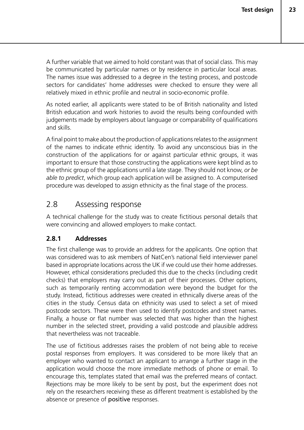A further variable that we aimed to hold constant was that of social class. This may be communicated by particular names or by residence in particular local areas. The names issue was addressed to a degree in the testing process, and postcode sectors for candidates' home addresses were checked to ensure they were all relatively mixed in ethnic profile and neutral in socio-economic profile.

As noted earlier, all applicants were stated to be of British nationality and listed British education and work histories to avoid the results being confounded with judgements made by employers about language or comparability of qualifications and skills.

A final point to make about the production of applications relates to the assignment of the names to indicate ethnic identity. To avoid any unconscious bias in the construction of the applications for or against particular ethnic groups, it was important to ensure that those constructing the applications were kept blind as to the ethnic group of the applications until a late stage. They should not know, *or be able to predict*, which group each application will be assigned to. A computerised procedure was developed to assign ethnicity as the final stage of the process.

## 2.8 Assessing response

A technical challenge for the study was to create fictitious personal details that were convincing and allowed employers to make contact.

#### **2.8.1 Addresses**

The first challenge was to provide an address for the applicants. One option that was considered was to ask members of NatCen's national field interviewer panel based in appropriate locations across the UK if we could use their home addresses. However, ethical considerations precluded this due to the checks (including credit checks) that employers may carry out as part of their processes. Other options, such as temporarily renting accommodation were beyond the budget for the study. Instead, fictitious addresses were created in ethnically diverse areas of the cities in the study. Census data on ethnicity was used to select a set of mixed postcode sectors. These were then used to identify postcodes and street names. Finally, a house or flat number was selected that was higher than the highest number in the selected street, providing a valid postcode and plausible address that nevertheless was not traceable.

The use of fictitious addresses raises the problem of not being able to receive postal responses from employers. It was considered to be more likely that an employer who wanted to contact an applicant to arrange a further stage in the application would choose the more immediate methods of phone or email. To encourage this, templates stated that email was the preferred means of contact. Rejections may be more likely to be sent by post, but the experiment does not rely on the researchers receiving these as different treatment is established by the absence or presence of positive responses.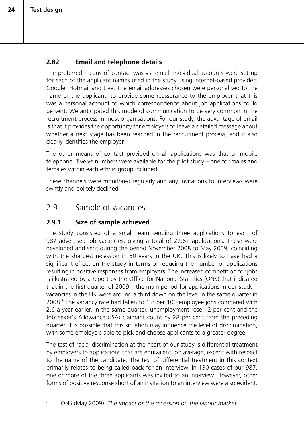#### **2.82 Email and telephone details**

The preferred means of contact was via email. Individual accounts were set up for each of the applicant names used in the study using internet-based providers Google, Hotmail and Live. The email addresses chosen were personalised to the name of the applicant, to provide some reassurance to the employer that this was a personal account to which correspondence about job applications could be sent. We anticipated this mode of communication to be very common in the recruitment process in most organisations. For our study, the advantage of email is that it provides the opportunity for employers to leave a detailed message about whether a next stage has been reached in the recruitment process, and it also clearly identifies the employer.

The other means of contact provided on all applications was that of mobile telephone. Twelve numbers were available for the pilot study – one for males and females within each ethnic group included.

These channels were monitored regularly and any invitations to interviews were swiftly and politely declined.

## 2.9 Sample of vacancies

#### **2.9.1 Size of sample achieved**

The study consisted of a small team sending three applications to each of 987 advertised job vacancies, giving a total of 2,961 applications. These were developed and sent during the period November 2008 to May 2009, coinciding with the sharpest recession in 50 years in the UK. This is likely to have had a significant effect on the study in terms of reducing the number of applications resulting in positive responses from employers. The increased competition for jobs is illustrated by a report by the Office for National Statistics (ONS) that indicated that in the first quarter of 2009 – the main period for applications in our study – vacancies in the UK were around a third down on the level in the same quarter in 2008.<sup>8</sup> The vacancy rate had fallen to 1.8 per 100 employee jobs compared with 2.6 a year earlier. In the same quarter, unemployment rose 12 per cent and the Jobseeker's Allowance (JSA) claimant count by 28 per cent from the preceding quarter. It is possible that this situation may influence the level of discrimination, with some employers able to pick and choose applicants to a greater degree.

The test of racial discrimination at the heart of our study is differential treatment by employers to applications that are equivalent, on average, except with respect to the name of the candidate. The test of differential treatment in this context primarily relates to being called back for an interview. In 130 cases of our 987, one or more of the three applicants was invited to an interview. However, other forms of positive response short of an invitation to an interview were also evident.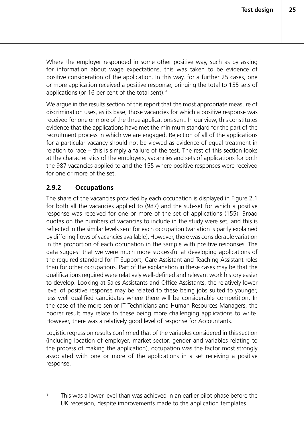Where the employer responded in some other positive way, such as by asking for information about wage expectations, this was taken to be evidence of positive consideration of the application. In this way, for a further 25 cases, one or more application received a positive response, bringing the total to 155 sets of applications (or 16 per cent of the total sent).9

We argue in the results section of this report that the most appropriate measure of discrimination uses, as its base, those vacancies for which a positive response was received for one or more of the three applications sent. In our view, this constitutes evidence that the applications have met the minimum standard for the part of the recruitment process in which we are engaged. Rejection of all of the applications for a particular vacancy should not be viewed as evidence of equal treatment in relation to race – this is simply a failure of the test. The rest of this section looks at the characteristics of the employers, vacancies and sets of applications for both the 987 vacancies applied to and the 155 where positive responses were received for one or more of the set.

#### **2.9.2 Occupations**

The share of the vacancies provided by each occupation is displayed in Figure 2.1 for both all the vacancies applied to (987) and the sub-set for which a positive response was received for one or more of the set of applications (155). Broad quotas on the numbers of vacancies to include in the study were set, and this is reflected in the similar levels sent for each occupation (variation is partly explained by differing flows of vacancies available). However, there was considerable variation in the proportion of each occupation in the sample with positive responses. The data suggest that we were much more successful at developing applications of the required standard for IT Support, Care Assistant and Teaching Assistant roles than for other occupations. Part of the explanation in these cases may be that the qualifications required were relatively well-defined and relevant work history easier to develop. Looking at Sales Assistants and Office Assistants, the relatively lower level of positive response may be related to these being jobs suited to younger, less well qualified candidates where there will be considerable competition. In the case of the more senior IT Technicians and Human Resources Managers, the poorer result may relate to these being more challenging applications to write. However, there was a relatively good level of response for Accountants.

Logistic regression results confirmed that of the variables considered in this section (including location of employer, market sector, gender and variables relating to the process of making the application), occupation was the factor most strongly associated with one or more of the applications in a set receiving a positive response.

<sup>&</sup>lt;sup>9</sup> This was a lower level than was achieved in an earlier pilot phase before the UK recession, despite improvements made to the application templates.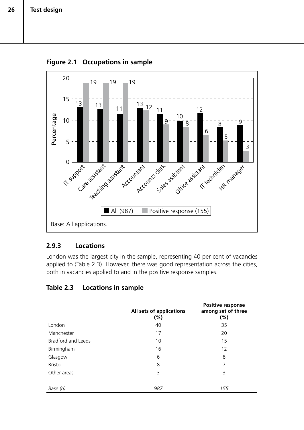

**Figure 2.1 Occupations in sample**

#### **2.9.3 Locations**

London was the largest city in the sample, representing 40 per cent of vacancies applied to (Table 2.3). However, there was good representation across the cities, both in vacancies applied to and in the positive response samples.

| Table 2.3 | <b>Locations in sample</b> |  |
|-----------|----------------------------|--|
|           |                            |  |

|                           | All sets of applications<br>$(\% )$ | Positive response<br>among set of three<br>$(\% )$ |
|---------------------------|-------------------------------------|----------------------------------------------------|
| London                    | 40                                  | 35                                                 |
| Manchester                | 17                                  | 20                                                 |
| <b>Bradford and Leeds</b> | 10                                  | 15                                                 |
| Birmingham                | 16                                  | 12                                                 |
| Glasgow                   | 6                                   | 8                                                  |
| <b>Bristol</b>            | 8                                   | 7                                                  |
| Other areas               | 3                                   | 3                                                  |
| Base (n)                  | 987                                 | 155                                                |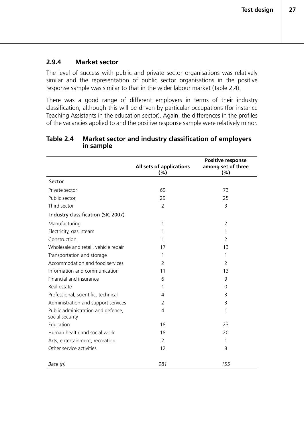#### **2.9.4 Market sector**

The level of success with public and private sector organisations was relatively similar and the representation of public sector organisations in the positive response sample was similar to that in the wider labour market (Table 2.4).

There was a good range of different employers in terms of their industry classification, although this will be driven by particular occupations (for instance Teaching Assistants in the education sector). Again, the differences in the profiles of the vacancies applied to and the positive response sample were relatively minor.

#### **Table 2.4 Market sector and industry classification of employers in sample**

|                                                       | All sets of applications<br>(%) | Positive response<br>among set of three<br>(%) |
|-------------------------------------------------------|---------------------------------|------------------------------------------------|
| Sector                                                |                                 |                                                |
| Private sector                                        | 69                              | 73                                             |
| Public sector                                         | 29                              | 25                                             |
| Third sector                                          | $\overline{2}$                  | 3                                              |
| Industry classification (SIC 2007)                    |                                 |                                                |
| Manufacturing                                         | 1                               | $\overline{2}$                                 |
| Electricity, gas, steam                               | 1                               | 1                                              |
| Construction                                          | 1                               | 2                                              |
| Wholesale and retail, vehicle repair                  | 17                              | 13                                             |
| Transportation and storage                            | 1                               | 1                                              |
| Accommodation and food services                       | $\overline{2}$                  | $\overline{2}$                                 |
| Information and communication                         | 11                              | 13                                             |
| Financial and insurance                               | 6                               | 9                                              |
| Real estate                                           | 1                               | $\Omega$                                       |
| Professional, scientific, technical                   | 4                               | 3                                              |
| Administration and support services                   | 2                               | 3                                              |
| Public administration and defence,<br>social security | $\overline{4}$                  | 1                                              |
| Education                                             | 18                              | 23                                             |
| Human health and social work                          | 18                              | 20                                             |
| Arts, entertainment, recreation                       | $\overline{2}$                  | 1                                              |
| Other service activities                              | 12                              | 8                                              |
| Base (n)                                              | 981                             | 155                                            |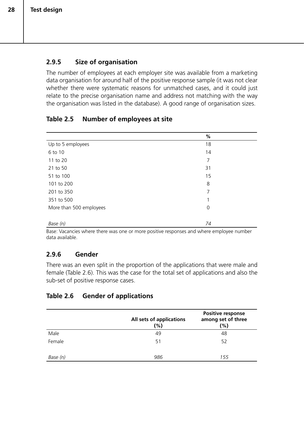#### **2.9.5 Size of organisation**

The number of employees at each employer site was available from a marketing data organisation for around half of the positive response sample (it was not clear whether there were systematic reasons for unmatched cases, and it could just relate to the precise organisation name and address not matching with the way the organisation was listed in the database). A good range of organisation sizes.

#### **Table 2.5 Number of employees at site**

|                         | $\%$ |  |
|-------------------------|------|--|
| Up to 5 employees       | 18   |  |
| 6 to 10                 | 14   |  |
| 11 to 20                | 7    |  |
| 21 to 50                | 31   |  |
| 51 to 100               | 15   |  |
| 101 to 200              | 8    |  |
| 201 to 350              | 7    |  |
| 351 to 500              |      |  |
| More than 500 employees | 0    |  |
|                         |      |  |
| Base (n)                | 74   |  |

Base: Vacancies where there was one or more positive responses and where employee number data available.

#### **2.9.6 Gender**

There was an even split in the proportion of the applications that were male and female (Table 2.6). This was the case for the total set of applications and also the sub-set of positive response cases.

#### **Table 2.6 Gender of applications**

|          | All sets of applications<br>(%) | Positive response<br>among set of three<br>$(\% )$ |
|----------|---------------------------------|----------------------------------------------------|
| Male     | 49                              | 48                                                 |
| Female   | 51                              | 52                                                 |
| Base (n) | 986                             | 155                                                |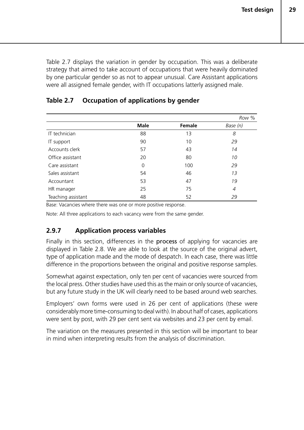Table 2.7 displays the variation in gender by occupation. This was a deliberate strategy that aimed to take account of occupations that were heavily dominated by one particular gender so as not to appear unusual. Care Assistant applications were all assigned female gender, with IT occupations latterly assigned male.

|                    |             |               | Row %    |
|--------------------|-------------|---------------|----------|
|                    | <b>Male</b> | <b>Female</b> | Base (n) |
| IT technician      | 88          | 13            | 8        |
| IT support         | 90          | 10            | 29       |
| Accounts clerk     | 57          | 43            | 14       |
| Office assistant   | 20          | 80            | 10       |
| Care assistant     | 0           | 100           | 29       |
| Sales assistant    | 54          | 46            | 13       |
| Accountant         | 53          | 47            | 19       |
| HR manager         | 25          | 75            | 4        |
| Teaching assistant | 48          | 52            | 29       |

#### **Table 2.7 Occupation of applications by gender**

Base: Vacancies where there was one or more positive response.

Note: All three applications to each vacancy were from the same gender.

#### **2.9.7 Application process variables**

Finally in this section, differences in the **process** of applying for vacancies are displayed in Table 2.8. We are able to look at the source of the original advert, type of application made and the mode of despatch. In each case, there was little difference in the proportions between the original and positive response samples.

Somewhat against expectation, only ten per cent of vacancies were sourced from the local press. Other studies have used this as the main or only source of vacancies, but any future study in the UK will clearly need to be based around web searches.

Employers' own forms were used in 26 per cent of applications (these were considerably more time-consuming to deal with). In about half of cases, applications were sent by post, with 29 per cent sent via websites and 23 per cent by email.

The variation on the measures presented in this section will be important to bear in mind when interpreting results from the analysis of discrimination.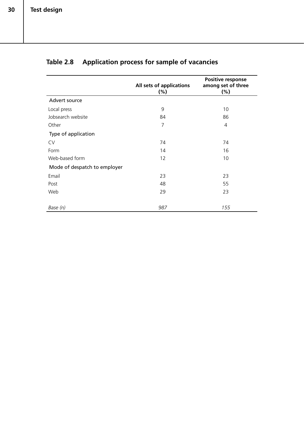|                              | All sets of applications<br>$(\% )$ | Positive response<br>among set of three<br>$(\% )$ |
|------------------------------|-------------------------------------|----------------------------------------------------|
| Advert source                |                                     |                                                    |
| Local press                  | 9                                   | 10                                                 |
| Jobsearch website            | 84                                  | 86                                                 |
| Other                        | $\overline{7}$                      | $\overline{4}$                                     |
| Type of application          |                                     |                                                    |
| <b>CV</b>                    | 74                                  | 74                                                 |
| Form                         | 14                                  | 16                                                 |
| Web-based form               | 12                                  | 10                                                 |
| Mode of despatch to employer |                                     |                                                    |
| Email                        | 23                                  | 23                                                 |
| Post                         | 48                                  | 55                                                 |
| Web                          | 29                                  | 23                                                 |
| Base (n)                     | 987                                 | 155                                                |

## **Table 2.8 Application process for sample of vacancies**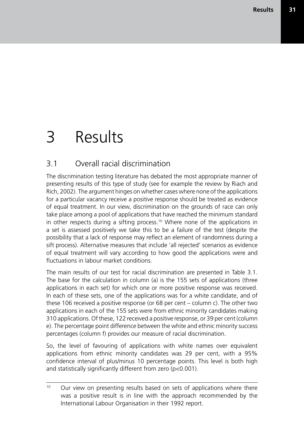# 3 Results

## 3.1 Overall racial discrimination

The discrimination testing literature has debated the most appropriate manner of presenting results of this type of study (see for example the review by Riach and Rich, 2002). The argument hinges on whether cases where none of the applications for a particular vacancy receive a positive response should be treated as evidence of equal treatment. In our view, discrimination on the grounds of race can only take place among a pool of applications that have reached the minimum standard in other respects during a sifting process.<sup>10</sup> Where none of the applications in a set is assessed positively we take this to be a failure of the test (despite the possibility that a lack of response may reflect an element of randomness during a sift process). Alternative measures that include 'all rejected' scenarios as evidence of equal treatment will vary according to how good the applications were and fluctuations in labour market conditions.

The main results of our test for racial discrimination are presented in Table 3.1. The base for the calculation in column (a) is the 155 sets of applications (three applications in each set) for which one or more positive response was received. In each of these sets, one of the applications was for a white candidate, and of these 106 received a positive response (or 68 per cent – column c). The other two applications in each of the 155 sets were from ethnic minority candidates making 310 applications. Of these, 122 received a positive response, or 39 per cent (column e). The percentage point difference between the white and ethnic minority success percentages (column f) provides our measure of racial discrimination.

So, the level of favouring of applications with white names over equivalent applications from ethnic minority candidates was 29 per cent, with a 95% confidence interval of plus/minus 10 percentage points. This level is both high and statistically significantly different from zero (p<0.001).

<sup>&</sup>lt;sup>10</sup> Our view on presenting results based on sets of applications where there was a positive result is in line with the approach recommended by the International Labour Organisation in their 1992 report.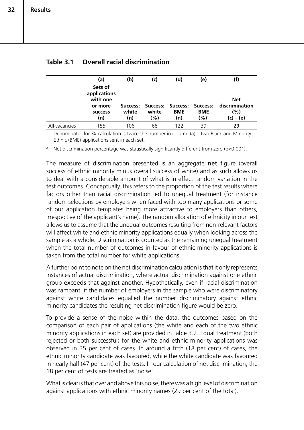|               | (a)                                                              | (b)   | (c)                                          | (d)        | (e)        | (f)                                 |
|---------------|------------------------------------------------------------------|-------|----------------------------------------------|------------|------------|-------------------------------------|
|               | Sets of<br>applications<br>with one<br>or more<br><b>SUCCESS</b> | white | Success: Success: Success: Success:<br>white | <b>BME</b> | <b>BME</b> | <b>Net</b><br>discrimination<br>(%) |
|               | (n)                                                              | (n)   | (%)                                          | (n)        | (%)1       | $(c) - (e)$                         |
| All vacancies | 155                                                              | 106   | 68                                           | 122        | 39         | 29                                  |

|  | Table 3.1  Overall racial discrimination |
|--|------------------------------------------|
|  |                                          |

<sup>1</sup> Denominator for % calculation is twice the number in column (a) – two Black and Minority Ethnic (BME) applications sent in each set.

<sup>2</sup> Net discrimination percentage was statistically significantly different from zero ( $p<0.001$ ).

The measure of discrimination presented is an aggregate net figure (overall success of ethnic minority minus overall success of white) and as such allows us to deal with a considerable amount of what is in effect random variation in the test outcomes. Conceptually, this refers to the proportion of the test results where factors other than racial discrimination led to unequal treatment (for instance random selections by employers when faced with too many applications or some of our application templates being more attractive to employers than others, irrespective of the applicant's name). The random allocation of ethnicity in our test allows us to assume that the unequal outcomes resulting from non-relevant factors will affect white and ethnic minority applications equally when looking across the sample as a whole. Discrimination is counted as the remaining unequal treatment when the total number of outcomes in favour of ethnic minority applications is taken from the total number for white applications.

A further point to note on the net discrimination calculation is that it only represents instances of actual discrimination, where actual discrimination against one ethnic group exceeds that against another. Hypothetically, even if racial discrimination was rampant, if the number of employers in the sample who were discriminatory against white candidates equalled the number discriminatory against ethnic minority candidates the resulting net discrimination figure would be zero.

To provide a sense of the noise within the data, the outcomes based on the comparison of each pair of applications (the white and each of the two ethnic minority applications in each set) are provided in Table 3.2. Equal treatment (both rejected or both successful) for the white and ethnic minority applications was observed in 35 per cent of cases. In around a fifth (18 per cent) of cases, the ethnic minority candidate was favoured, while the white candidate was favoured in nearly half (47 per cent) of the tests. In our calculation of net discrimination, the 18 per cent of tests are treated as 'noise'.

What is clear is that over and above this noise, there was a high level of discrimination against applications with ethnic minority names (29 per cent of the total).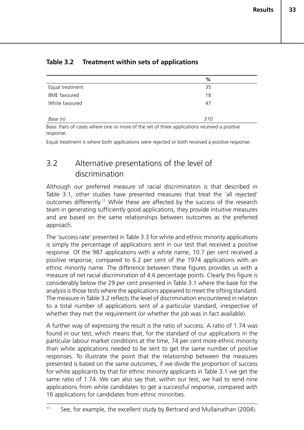|                     | %   |
|---------------------|-----|
| Equal treatment     | 35  |
| <b>BME</b> favoured | 18  |
| White favoured      | 47  |
|                     |     |
| Base (n)            | 310 |

### **Table 3.2 Treatment within sets of applications**

Base: Pairs of cases where one or more of the set of three applications received a positive response.

Equal treatment is where both applications were rejected or both received a positive response.

## 3.2 Alternative presentations of the level of discrimination

Although our preferred measure of racial discrimination is that described in Table 3.1, other studies have presented measures that treat the 'all rejected' outcomes differently.11 While these are affected by the success of the research team in generating sufficiently good applications, they provide intuitive measures and are based on the same relationships between outcomes as the preferred approach.

The 'success rate' presented in Table 3.3 for white and ethnic minority applications is simply the percentage of applications sent in our test that received a positive response. Of the 987 applications with a white name, 10.7 per cent received a positive response, compared to 6.2 per cent of the 1974 applications with an ethnic minority name. The difference between these figures provides us with a measure of net racial discrimination of 4.6 percentage points. Clearly this figure is considerably below the 29 per cent presented in Table 3.1 where the base for the analysis is those tests where the applications appeared to meet the sifting standard. The measure in Table 3.2 reflects the level of discrimination encountered in relation to a total number of applications sent of a particular standard, irrespective of whether they met the requirement (or whether the job was in fact available).

A further way of expressing the result is the ratio of success. A ratio of 1.74 was found in our test, which means that, for the standard of our applications in the particular labour market conditions at the time, 74 per cent more ethnic minority than white applications needed to be sent to get the same number of positive responses. To illustrate the point that the relationship between the measures presented is based on the same outcomes, if we divide the proportion of success for white applicants by that for ethnic minority applicants in Table 3.1 we get the same ratio of 1.74. We can also say that, within our test, we had to send nine applications from white candidates to get a successful response, compared with 16 applications for candidates from ethnic minorities.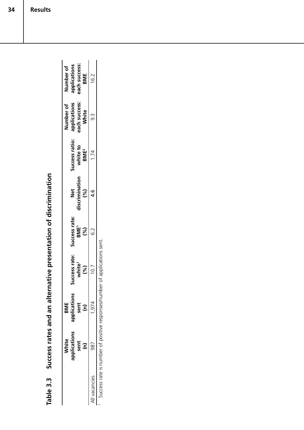|              | White                | BME                  |                      |                        |                |                         | Number of     | Number of                     |
|--------------|----------------------|----------------------|----------------------|------------------------|----------------|-------------------------|---------------|-------------------------------|
|              | applications         | applications         | Success rate:        | Success rate:          | <b>Net</b>     | Success ratio:          | applications  | applications<br>each success: |
|              | sent                 | sent                 | white <sup>1</sup>   | <b>BME<sup>1</sup></b> | discrimination | white to                | each success: |                               |
|              | $\widehat{\epsilon}$ | $\widehat{\epsilon}$ | (%)                  | (%)                    | (%)            | <b>BME</b> <sup>2</sup> | White         | BME                           |
| Il vacancies | 987                  | 1,974                | 10.7                 | 6.2                    | ە.<br>4        | 1.74                    | ن<br>ون       | 16.2                          |
|              | $\ddot{\phantom{a}}$ |                      | $\ddot{\phantom{0}}$ |                        |                |                         |               |                               |

Success rates and an alternative presentation of discrimination **Table 3.3 Success rates and an alternative presentation of discrimination** Table 3.3

I Success rate is number of positive responses/number of applications sent. Success rate is number of positive responses/number of applications sent.

**Results**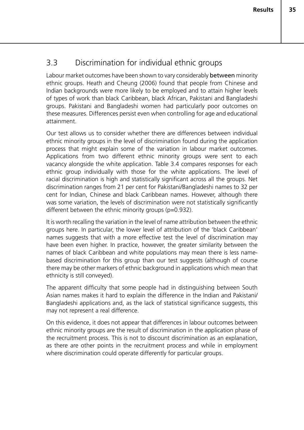## 3.3 Discrimination for individual ethnic groups

Labour market outcomes have been shown to vary considerably between minority ethnic groups. Heath and Cheung (2006) found that people from Chinese and Indian backgrounds were more likely to be employed and to attain higher levels of types of work than black Caribbean, black African, Pakistani and Bangladeshi groups. Pakistani and Bangladeshi women had particularly poor outcomes on these measures. Differences persist even when controlling for age and educational attainment.

Our test allows us to consider whether there are differences between individual ethnic minority groups in the level of discrimination found during the application process that might explain some of the variation in labour market outcomes. Applications from two different ethnic minority groups were sent to each vacancy alongside the white application. Table 3.4 compares responses for each ethnic group individually with those for the white applications. The level of racial discrimination is high and statistically significant across all the groups. Net discrimination ranges from 21 per cent for Pakistani/Bangladeshi names to 32 per cent for Indian, Chinese and black Caribbean names. However, although there was some variation, the levels of discrimination were not statistically significantly different between the ethnic minority groups (p=0.932).

It is worth recalling the variation in the level of name attribution between the ethnic groups here. In particular, the lower level of attribution of the 'black Caribbean' names suggests that with a more effective test the level of discrimination may have been even higher. In practice, however, the greater similarity between the names of black Caribbean and white populations may mean there is less namebased discrimination for this group than our test suggests (although of course there may be other markers of ethnic background in applications which mean that ethnicity is still conveyed).

The apparent difficulty that some people had in distinguishing between South Asian names makes it hard to explain the difference in the Indian and Pakistani/ Bangladeshi applications and, as the lack of statistical significance suggests, this may not represent a real difference.

On this evidence, it does not appear that differences in labour outcomes between ethnic minority groups are the result of discrimination in the application phase of the recruitment process. This is not to discount discrimination as an explanation, as there are other points in the recruitment process and while in employment where discrimination could operate differently for particular groups.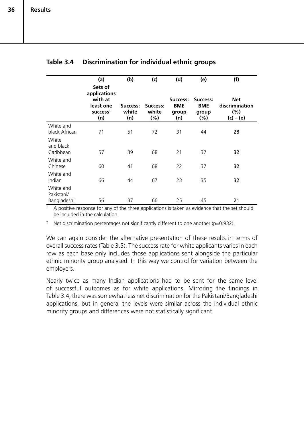|                                        | (a)                                                                           | (b)                      | (c)                      | (d)                                    | (e)                                    | (f)                                                |
|----------------------------------------|-------------------------------------------------------------------------------|--------------------------|--------------------------|----------------------------------------|----------------------------------------|----------------------------------------------------|
|                                        | Sets of<br>applications<br>with at<br>least one<br>$succ$ <sub>5</sub><br>(n) | Success:<br>white<br>(n) | Success:<br>white<br>(%) | Success:<br><b>BME</b><br>group<br>(n) | Success:<br><b>BME</b><br>group<br>(%) | <b>Net</b><br>discrimination<br>(%)<br>$(c) - (e)$ |
| White and<br>black African             | 71                                                                            | 51                       | 72                       | 31                                     | 44                                     | 28                                                 |
| White<br>and black<br>Caribbean        | 57                                                                            | 39                       | 68                       | 21                                     | 37                                     | 32                                                 |
| White and<br>Chinese                   | 60                                                                            | 41                       | 68                       | 22                                     | 37                                     | 32                                                 |
| White and<br>Indian                    | 66                                                                            | 44                       | 67                       | 23                                     | 35                                     | 32                                                 |
| White and<br>Pakistani/<br>Bangladeshi | 56                                                                            | 37                       | 66                       | 25                                     | 45                                     | 21                                                 |

#### **Table 3.4 Discrimination for individual ethnic groups**

<sup>1</sup> A positive response for any of the three applications is taken as evidence that the set should be included in the calculation.

<sup>2</sup> Net discrimination percentages not significantly different to one another ( $p=0.932$ ).

We can again consider the alternative presentation of these results in terms of overall success rates (Table 3.5). The success rate for white applicants varies in each row as each base only includes those applications sent alongside the particular ethnic minority group analysed. In this way we control for variation between the employers.

Nearly twice as many Indian applications had to be sent for the same level of successful outcomes as for white applications. Mirroring the findings in Table 3.4, there was somewhat less net discrimination for the Pakistani/Bangladeshi applications, but in general the levels were similar across the individual ethnic minority groups and differences were not statistically significant.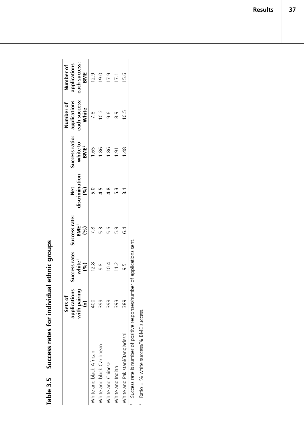Success rates for individual ethnic groups **Table 3.5 Success rates for individual ethnic groups** Table 3.5

|                                                                           | Sets of              |                    |                        |                |                         | Number of     | Number of     |
|---------------------------------------------------------------------------|----------------------|--------------------|------------------------|----------------|-------------------------|---------------|---------------|
|                                                                           | applications         | uccess rate:       | Success rate:          | Net            | Success ratio:          | applications  | applications  |
|                                                                           | with pairing         | white <sup>1</sup> | <b>BME<sup>1</sup></b> | discrimination | white to                | each success: | each success: |
|                                                                           | $\widehat{\epsilon}$ | (%)                | (%)                    | (%)            | <b>BME</b> <sup>2</sup> | <b>White</b>  | BME           |
| White and black African                                                   | 400                  | 12.8               | $\frac{8}{1}$          | 5.0            | 1.65                    | 7.8           | 12.9          |
| White and black Caribbean                                                 | 399                  | 8.                 | 5.S                    |                | $\frac{86}{18}$         | 10.2          | 0.61          |
| White and Chinese                                                         | 393                  | 10.4               | 9.G                    | 9.<br>4        | $\frac{86}{1}$          | 9.6           | 17.9          |
| White and Indian                                                          | 393                  | 11.2               | 5.G                    | iv.            | $\tilde{e}$             | 8.9           | 17.1          |
| White and Pakistani/Bangladeshi                                           | 389                  | 5.G                | 64                     |                | $\frac{48}{1}$          | 10.5          | 15.6          |
| Success rate is number of positive responses/number of applications sent. |                      |                    |                        |                |                         |               |               |

Ratio = % white success/% BME success. Ratio = % white success/% BME success. 2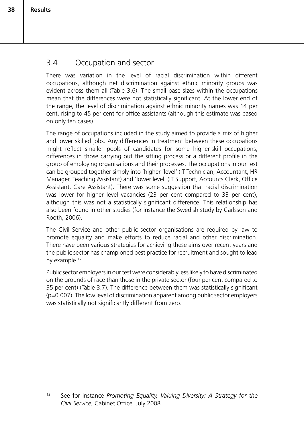## 3.4 Occupation and sector

There was variation in the level of racial discrimination within different occupations, although net discrimination against ethnic minority groups was evident across them all (Table 3.6). The small base sizes within the occupations mean that the differences were not statistically significant. At the lower end of the range, the level of discrimination against ethnic minority names was 14 per cent, rising to 45 per cent for office assistants (although this estimate was based on only ten cases).

The range of occupations included in the study aimed to provide a mix of higher and lower skilled jobs. Any differences in treatment between these occupations might reflect smaller pools of candidates for some higher-skill occupations, differences in those carrying out the sifting process or a different profile in the group of employing organisations and their processes. The occupations in our test can be grouped together simply into 'higher 'level' (IT Technician, Accountant, HR Manager, Teaching Assistant) and 'lower level' (IT Support, Accounts Clerk, Office Assistant, Care Assistant). There was some suggestion that racial discrimination was lower for higher level vacancies (23 per cent compared to 33 per cent), although this was not a statistically significant difference. This relationship has also been found in other studies (for instance the Swedish study by Carlsson and Rooth, 2006).

The Civil Service and other public sector organisations are required by law to promote equality and make efforts to reduce racial and other discrimination. There have been various strategies for achieving these aims over recent years and the public sector has championed best practice for recruitment and sought to lead by example.<sup>12</sup>

Public sector employers in our test were considerably less likely to have discriminated on the grounds of race than those in the private sector (four per cent compared to 35 per cent) (Table 3.7). The difference between them was statistically significant (p=0.007). The low level of discrimination apparent among public sector employers was statistically not significantly different from zero.

<sup>12</sup> See for instance *Promoting Equality, Valuing Diversity: A Strategy for the Civil Service*, Cabinet Office, July 2008.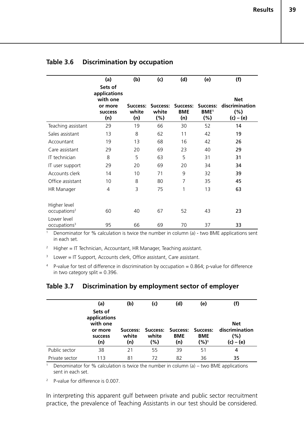|                                          | (a)                                                                     | (b)                      | (c)                          | (d)                           | (e)                                           | (f)                                                   |
|------------------------------------------|-------------------------------------------------------------------------|--------------------------|------------------------------|-------------------------------|-----------------------------------------------|-------------------------------------------------------|
|                                          | Sets of<br>applications<br>with one<br>or more<br><b>SUCCESS</b><br>(n) | Success:<br>white<br>(n) | Success:<br>white<br>$(\% )$ | Success:<br><b>BME</b><br>(n) | Success:<br><b>BME<sup>1</sup></b><br>$(\% )$ | <b>Net</b><br>discrimination<br>$(\%)$<br>$(c) - (e)$ |
| Teaching assistant                       | 29                                                                      | 19                       | 66                           | 30                            | 52                                            | 14                                                    |
| Sales assistant                          | 13                                                                      | 8                        | 62                           | 11                            | 42                                            | 19                                                    |
| Accountant                               | 19                                                                      | 13                       | 68                           | 16                            | 42                                            | 26                                                    |
| Care assistant                           | 29                                                                      | 20                       | 69                           | 23                            | 40                                            | 29                                                    |
| IT technician                            | 8                                                                       | 5                        | 63                           | 5                             | 31                                            | 31                                                    |
| IT user support                          | 29                                                                      | 20                       | 69                           | 20                            | 34                                            | 34                                                    |
| Accounts clerk                           | 14                                                                      | 10                       | 71                           | 9                             | 32                                            | 39                                                    |
| Office assistant                         | 10                                                                      | 8                        | 80                           | $\overline{7}$                | 35                                            | 45                                                    |
| HR Manager                               | 4                                                                       | 3                        | 75                           | 1                             | 13                                            | 63                                                    |
| Higher level<br>occupations <sup>2</sup> | 60                                                                      | 40                       | 67                           | 52                            | 43                                            | 23                                                    |
| Lower level<br>occupations <sup>3</sup>  | 95                                                                      | 66                       | 69                           | 70                            | 37                                            | 33                                                    |

#### **Table 3.6 Discrimination by occupation**

<sup>1</sup> Denominator for % calculation is twice the number in column (a) - two BME applications sent in each set.

<sup>2</sup> Higher = IT Technician, Accountant, HR Manager, Teaching assistant.

 $3$  Lower = IT Support, Accounts clerk, Office assistant, Care assistant.

<sup>4</sup> P-value for test of difference in discrimination by occupation = 0.864; p-value for difference in two category split  $= 0.396$ .

#### **Table 3.7 Discrimination by employment sector of employer**

|                | (a)                                                                     | (b)                      | (c)              | (d)                                             | (e)                | (f)                                              |
|----------------|-------------------------------------------------------------------------|--------------------------|------------------|-------------------------------------------------|--------------------|--------------------------------------------------|
|                | Sets of<br>applications<br>with one<br>or more<br><b>SUCCESS</b><br>(n) | Success:<br>white<br>(n) | white<br>$(\% )$ | Success: Success: Success:<br><b>BME</b><br>(n) | <b>BME</b><br>(%)1 | <b>Net</b><br>discrimination<br>(%)<br>(c) – (e) |
| Public sector  | 38                                                                      | 21                       | 55               | 39                                              | 51                 | 4                                                |
| Private sector | 113                                                                     | 81                       | 72               | 82                                              | 36                 | 35                                               |

<sup>1</sup> Denominator for % calculation is twice the number in column (a) – two BME applications sent in each set.

<sup>2</sup> P-value for difference is 0.007.

In interpreting this apparent gulf between private and public sector recruitment practice, the prevalence of Teaching Assistants in our test should be considered.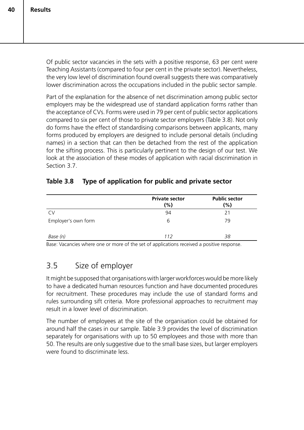Of public sector vacancies in the sets with a positive response, 63 per cent were Teaching Assistants (compared to four per cent in the private sector). Nevertheless, the very low level of discrimination found overall suggests there was comparatively lower discrimination across the occupations included in the public sector sample.

Part of the explanation for the absence of net discrimination among public sector employers may be the widespread use of standard application forms rather than the acceptance of CVs. Forms were used in 79 per cent of public sector applications compared to six per cent of those to private sector employers (Table 3.8). Not only do forms have the effect of standardising comparisons between applicants, many forms produced by employers are designed to include personal details (including names) in a section that can then be detached from the rest of the application for the sifting process. This is particularly pertinent to the design of our test. We look at the association of these modes of application with racial discrimination in Section 3.7.

| Table 3.8 | Type of application for public and private sector |
|-----------|---------------------------------------------------|
|-----------|---------------------------------------------------|

|                     | <b>Private sector</b><br>$(\%)$ | <b>Public sector</b><br>(%) |
|---------------------|---------------------------------|-----------------------------|
| CV                  | 94                              | 21                          |
| Employer's own form | 6                               | 79                          |
| Base (n)            | 112                             | 38                          |

Base: Vacancies where one or more of the set of applications received a positive response.

## 3.5 Size of employer

It might be supposed that organisations with larger workforces would be more likely to have a dedicated human resources function and have documented procedures for recruitment. These procedures may include the use of standard forms and rules surrounding sift criteria. More professional approaches to recruitment may result in a lower level of discrimination.

The number of employees at the site of the organisation could be obtained for around half the cases in our sample. Table 3.9 provides the level of discrimination separately for organisations with up to 50 employees and those with more than 50. The results are only suggestive due to the small base sizes, but larger employers were found to discriminate less.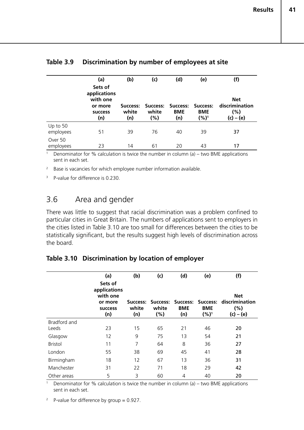|                       | (a)                                                                     | (b)                      | (c)          | (d)                                             | (e)               | (f)                                              |
|-----------------------|-------------------------------------------------------------------------|--------------------------|--------------|-------------------------------------------------|-------------------|--------------------------------------------------|
|                       | Sets of<br>applications<br>with one<br>or more<br><b>SUCCESS</b><br>(n) | Success:<br>white<br>(n) | white<br>(%) | Success: Success: Success:<br><b>BME</b><br>(n) | <b>BME</b><br>(%) | <b>Net</b><br>discrimination<br>(%)<br>(c) – (e) |
| Up to 50<br>employees | 51                                                                      | 39                       | 76           | 40                                              | 39                | 37                                               |
| Over 50<br>employees  | 23                                                                      | 14                       | 61           | 20                                              | 43                | 17                                               |

#### **Table 3.9 Discrimination by number of employees at site**

<sup>1</sup> Denominator for % calculation is twice the number in column (a) – two BME applications sent in each set.

<sup>2</sup> Base is vacancies for which employee number information available.

<sup>3</sup> P-value for difference is 0.230.

## 3.6 Area and gender

There was little to suggest that racial discrimination was a problem confined to particular cities in Great Britain. The numbers of applications sent to employers in the cities listed in Table 3.10 are too small for differences between the cities to be statistically significant, but the results suggest high levels of discrimination across the board.

## **Table 3.10 Discrimination by location of employer**

|                | (a)                                 | (b)                      | (c)                      | (d)                           | (e)                               | (f)                                  |
|----------------|-------------------------------------|--------------------------|--------------------------|-------------------------------|-----------------------------------|--------------------------------------|
|                | Sets of<br>applications<br>with one |                          |                          |                               |                                   | <b>Net</b>                           |
|                | or more<br><b>SUCCESS</b><br>(n)    | Success:<br>white<br>(n) | Success:<br>white<br>(%) | Success:<br><b>BME</b><br>(n) | Success:<br><b>BME</b><br>$(%)^1$ | discrimination<br>(%)<br>$(c) - (e)$ |
| Bradford and   |                                     |                          |                          |                               |                                   |                                      |
| Leeds          | 23                                  | 15                       | 65                       | 21                            | 46                                | 20                                   |
| Glasgow        | 12                                  | 9                        | 75                       | 13                            | 54                                | 21                                   |
| <b>Bristol</b> | 11                                  | $\overline{7}$           | 64                       | 8                             | 36                                | 27                                   |
| London         | 55                                  | 38                       | 69                       | 45                            | 41                                | 28                                   |
| Birmingham     | 18                                  | 12                       | 67                       | 13                            | 36                                | 31                                   |
| Manchester     | 31                                  | 22                       | 71                       | 18                            | 29                                | 42                                   |
| Other areas    | 5                                   | 3                        | 60                       | 4                             | 40                                | 20                                   |

<sup>1</sup> Denominator for % calculation is twice the number in column (a) – two BME applications sent in each set.

<sup>2</sup> P-value for difference by group =  $0.927$ .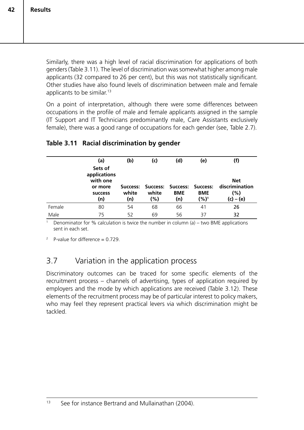Similarly, there was a high level of racial discrimination for applications of both genders (Table 3.11). The level of discrimination was somewhat higher among male applicants (32 compared to 26 per cent), but this was not statistically significant. Other studies have also found levels of discrimination between male and female applicants to be similar.<sup>13</sup>

On a point of interpretation, although there were some differences between occupations in the profile of male and female applicants assigned in the sample (IT Support and IT Technicians predominantly male, Care Assistants exclusively female), there was a good range of occupations for each gender (see, Table 2.7).

#### **Table 3.11 Racial discrimination by gender**

|        | (a)                                                                     | (b)          | (c)          | (d)               | (e)                                                       |                                                    |
|--------|-------------------------------------------------------------------------|--------------|--------------|-------------------|-----------------------------------------------------------|----------------------------------------------------|
|        | Sets of<br>applications<br>with one<br>or more<br><b>SUCCESS</b><br>(n) | white<br>(n) | white<br>(%) | <b>BME</b><br>(n) | Success: Success: Success: Success:<br><b>BME</b><br>(%)1 | <b>Net</b><br>discrimination<br>(%)<br>$(c) - (e)$ |
| Female | 80                                                                      | 54           | 68           | 66                | 41                                                        | 26                                                 |
| Male   | 75                                                                      | 52           | 69           | 56                | 37                                                        | 32                                                 |

Denominator for % calculation is twice the number in column (a) – two BME applications sent in each set.

<sup>2</sup> P-value for difference =  $0.729$ .

## 3.7 Variation in the application process

Discriminatory outcomes can be traced for some specific elements of the recruitment process – channels of advertising, types of application required by employers and the mode by which applications are received (Table 3.12). These elements of the recruitment process may be of particular interest to policy makers, who may feel they represent practical levers via which discrimination might be tackled.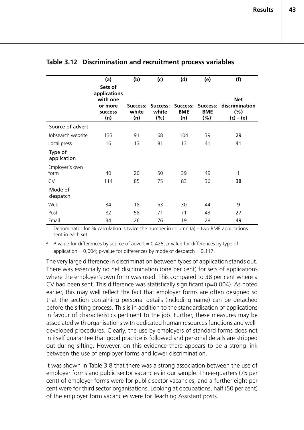|                        | (a)                                                                     | (b)                      | (c)                      | (d)                           | (e)                                      | (f)                                                    |
|------------------------|-------------------------------------------------------------------------|--------------------------|--------------------------|-------------------------------|------------------------------------------|--------------------------------------------------------|
|                        | Sets of<br>applications<br>with one<br>or more<br><b>SUCCESS</b><br>(n) | Success:<br>white<br>(n) | Success:<br>white<br>(%) | Success:<br><b>BME</b><br>(n) | <b>Success:</b><br><b>BME</b><br>$(%)^1$ | <b>Net</b><br>discrimination<br>$(\% )$<br>$(c) - (e)$ |
| Source of advert       |                                                                         |                          |                          |                               |                                          |                                                        |
| Jobsearch website      | 133                                                                     | 91                       | 68                       | 104                           | 39                                       | 29                                                     |
| Local press            | 16                                                                      | 13                       | 81                       | 13                            | 41                                       | 41                                                     |
| Type of<br>application |                                                                         |                          |                          |                               |                                          |                                                        |
| Employer's own<br>form | 40                                                                      | 20                       | 50                       | 39                            | 49                                       | 1                                                      |
| <b>CV</b>              | 114                                                                     | 85                       | 75                       | 83                            | 36                                       | 38                                                     |
| Mode of<br>despatch    |                                                                         |                          |                          |                               |                                          |                                                        |
| Web                    | 34                                                                      | 18                       | 53                       | 30                            | 44                                       | 9                                                      |
| Post                   | 82                                                                      | 58                       | 71                       | 71                            | 43                                       | 27                                                     |
| Email                  | 34                                                                      | 26                       | 76                       | 19                            | 28                                       | 49                                                     |

#### **Table 3.12 Discrimination and recruitment process variables**

Denominator for % calculation is twice the number in column (a) – two BME applications sent in each set.

<sup>2</sup> P-value for differences by source of advert = 0.425; p-value for differences by type of application =  $0.004$ ; p-value for differences by mode of despatch =  $0.117$ .

The very large difference in discrimination between types of application stands out. There was essentially no net discrimination (one per cent) for sets of applications where the employer's own form was used. This compared to 38 per cent where a CV had been sent. This difference was statistically significant (p=0.004). As noted earlier, this may well reflect the fact that employer forms are often designed so that the section containing personal details (including name) can be detached before the sifting process. This is in addition to the standardisation of applications in favour of characteristics pertinent to the job. Further, these measures may be associated with organisations with dedicated human resources functions and welldeveloped procedures. Clearly, the use by employers of standard forms does not in itself guarantee that good practice is followed and personal details are stripped out during sifting. However, on this evidence there appears to be a strong link between the use of employer forms and lower discrimination.

It was shown in Table 3.8 that there was a strong association between the use of employer forms and public sector vacancies in our sample. Three-quarters (75 per cent) of employer forms were for public sector vacancies, and a further eight per cent were for third sector organisations. Looking at occupations, half (50 per cent) of the employer form vacancies were for Teaching Assistant posts.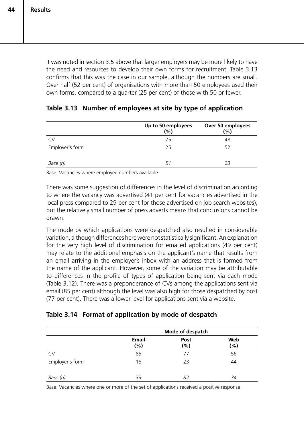**Results**

**44**

It was noted in section 3.5 above that larger employers may be more likely to have the need and resources to develop their own forms for recruitment. Table 3.13 confirms that this was the case in our sample, although the numbers are small. Over half (52 per cent) of organisations with more than 50 employees used their own forms, compared to a quarter (25 per cent) of those with 50 or fewer.

|                 | Up to 50 employees<br>(%) | Over 50 employees<br>$(\%)$ |
|-----------------|---------------------------|-----------------------------|
| CV              | 75                        | 48                          |
| Employer's form | 25                        | 52                          |
| Base (n)        | 51                        | 23                          |

#### **Table 3.13 Number of employees at site by type of application**

Base: Vacancies where employee numbers available.

There was some suggestion of differences in the level of discrimination according to where the vacancy was advertised (41 per cent for vacancies advertised in the local press compared to 29 per cent for those advertised on job search websites), but the relatively small number of press adverts means that conclusions cannot be drawn.

The mode by which applications were despatched also resulted in considerable variation, although differences here were not statistically significant. An explanation for the very high level of discrimination for emailed applications (49 per cent) may relate to the additional emphasis on the applicant's name that results from an email arriving in the employer's inbox with an address that is formed from the name of the applicant. However, some of the variation may be attributable to differences in the profile of types of application being sent via each mode (Table 3.12). There was a preponderance of CVs among the applications sent via email (85 per cent) although the level was also high for those despatched by post (77 per cent). There was a lower level for applications sent via a website.

#### **Table 3.14 Format of application by mode of despatch**

|                 |                        | Mode of despatch |               |
|-----------------|------------------------|------------------|---------------|
|                 | <b>Email</b><br>$(\%)$ | Post<br>(%)      | Web<br>$(\%)$ |
| <b>CV</b>       | 85                     | 77               | 56            |
| Employer's form | 15                     | 23               | 44            |
| Base (n)        | 33                     | 82               | 34            |

Base: Vacancies where one or more of the set of applications received a positive response.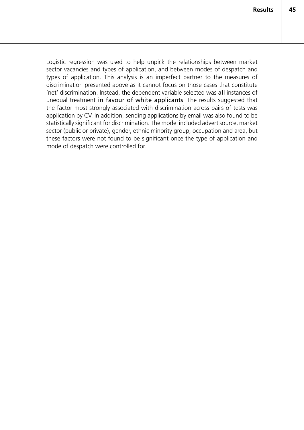Logistic regression was used to help unpick the relationships between market sector vacancies and types of application, and between modes of despatch and types of application. This analysis is an imperfect partner to the measures of discrimination presented above as it cannot focus on those cases that constitute 'net' discrimination. Instead, the dependent variable selected was all instances of unequal treatment in favour of white applicants. The results suggested that the factor most strongly associated with discrimination across pairs of tests was application by CV. In addition, sending applications by email was also found to be statistically significant for discrimination. The model included advert source, market sector (public or private), gender, ethnic minority group, occupation and area, but these factors were not found to be significant once the type of application and mode of despatch were controlled for.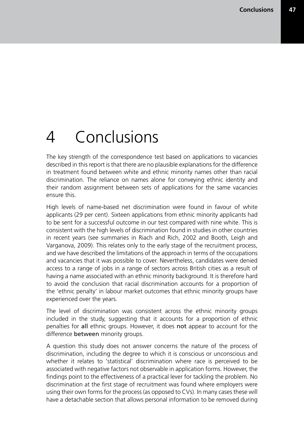# 4 Conclusions

The key strength of the correspondence test based on applications to vacancies described in this report is that there are no plausible explanations for the difference in treatment found between white and ethnic minority names other than racial discrimination. The reliance on names alone for conveying ethnic identity and their random assignment between sets of applications for the same vacancies ensure this.

High levels of name-based net discrimination were found in favour of white applicants (29 per cent). Sixteen applications from ethnic minority applicants had to be sent for a successful outcome in our test compared with nine white. This is consistent with the high levels of discrimination found in studies in other countries in recent years (see summaries in Riach and Rich, 2002 and Booth, Leigh and Varganova, 2009). This relates only to the early stage of the recruitment process, and we have described the limitations of the approach in terms of the occupations and vacancies that it was possible to cover. Nevertheless, candidates were denied access to a range of jobs in a range of sectors across British cities as a result of having a name associated with an ethnic minority background. It is therefore hard to avoid the conclusion that racial discrimination accounts for a proportion of the 'ethnic penalty' in labour market outcomes that ethnic minority groups have experienced over the years.

The level of discrimination was consistent across the ethnic minority groups included in the study, suggesting that it accounts for a proportion of ethnic penalties for all ethnic groups. However, it does not appear to account for the difference between minority groups.

A question this study does not answer concerns the nature of the process of discrimination, including the degree to which it is conscious or unconscious and whether it relates to 'statistical' discrimination where race is perceived to be associated with negative factors not observable in application forms. However, the findings point to the effectiveness of a practical lever for tackling the problem. No discrimination at the first stage of recruitment was found where employers were using their own forms for the process (as opposed to CVs). In many cases these will have a detachable section that allows personal information to be removed during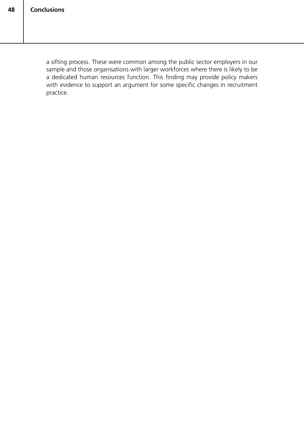a sifting process. These were common among the public sector employers in our sample and those organisations with larger workforces where there is likely to be a dedicated human resources function. This finding may provide policy makers with evidence to support an argument for some specific changes in recruitment practice.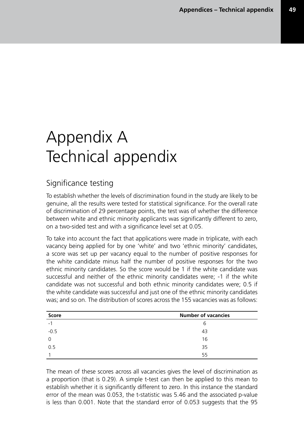# Appendix A Technical appendix

# Significance testing

To establish whether the levels of discrimination found in the study are likely to be genuine, all the results were tested for statistical significance. For the overall rate of discrimination of 29 percentage points, the test was of whether the difference between white and ethnic minority applicants was significantly different to zero, on a two-sided test and with a significance level set at 0.05.

To take into account the fact that applications were made in triplicate, with each vacancy being applied for by one 'white' and two 'ethnic minority' candidates, a score was set up per vacancy equal to the number of positive responses for the white candidate minus half the number of positive responses for the two ethnic minority candidates. So the score would be 1 if the white candidate was successful and neither of the ethnic minority candidates were; -1 if the white candidate was not successful and both ethnic minority candidates were; 0.5 if the white candidate was successful and just one of the ethnic minority candidates was; and so on. The distribution of scores across the 155 vacancies was as follows:

| <b>Score</b>             | <b>Number of vacancies</b> |
|--------------------------|----------------------------|
| $\overline{\phantom{0}}$ | b                          |
| $-0.5$                   | 43                         |
| 0                        | 16                         |
| 0.5                      | 35                         |
|                          | 55                         |

The mean of these scores across all vacancies gives the level of discrimination as a proportion (that is 0.29). A simple t-test can then be applied to this mean to establish whether it is significantly different to zero. In this instance the standard error of the mean was 0.053, the t-statistic was 5.46 and the associated p-value is less than 0.001. Note that the standard error of 0.053 suggests that the 95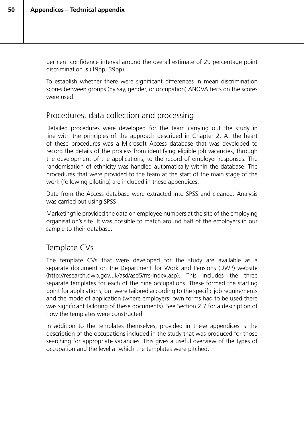per cent confidence interval around the overall estimate of 29 percentage point discrimination is (19pp, 39pp).

To establish whether there were significant differences in mean discrimination scores between groups (by say, gender, or occupation) ANOVA tests on the scores were used.

### Procedures, data collection and processing

Detailed procedures were developed for the team carrying out the study in line with the principles of the approach described in Chapter 2. At the heart of these procedures was a Microsoft Access database that was developed to record the details of the process from identifying eligible job vacancies, through the development of the applications, to the record of employer responses. The randomisation of ethnicity was handled automatically within the database. The procedures that were provided to the team at the start of the main stage of the work (following piloting) are included in these appendices.

Data from the Access database were extracted into SPSS and cleaned. Analysis was carried out using SPSS.

Marketingfile provided the data on employee numbers at the site of the employing organisation's site. It was possible to match around half of the employers in our sample to their database.

## Template CVs

The template CVs that were developed for the study are available as a separate document on the Department for Work and Pensions (DWP) website (http://research.dwp.gov.uk/asd/asd5/rrs-index.asp). This includes the three separate templates for each of the nine occupations. These formed the starting point for applications, but were tailored according to the specific job requirements and the mode of application (where employers' own forms had to be used there was significant tailoring of these documents). See Section 2.7 for a description of how the templates were constructed.

In addition to the templates themselves, provided in these appendices is the description of the occupations included in the study that was produced for those searching for appropriate vacancies. This gives a useful overview of the types of occupation and the level at which the templates were pitched.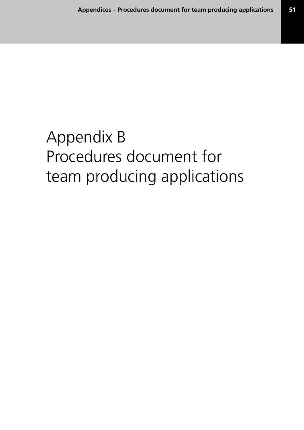# Appendix B Procedures document for team producing applications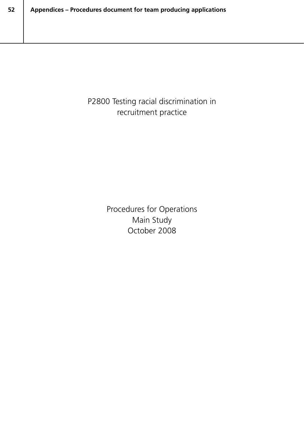P2800 Testing racial discrimination in recruitment practice

> Procedures for Operations Main Study October 2008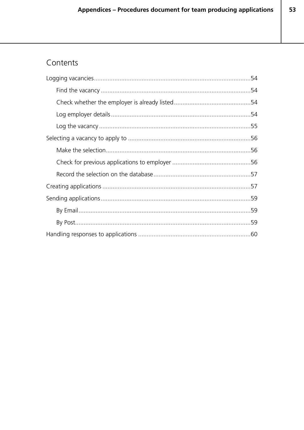# Contents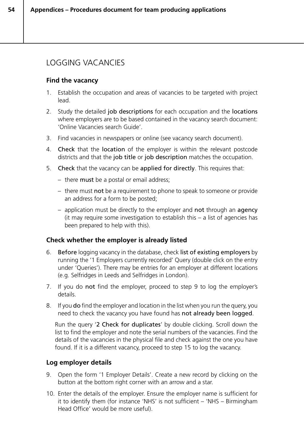## LOGGING VACANCIES

#### **Find the vacancy**

- 1. Establish the occupation and areas of vacancies to be targeted with project lead.
- 2. Study the detailed job descriptions for each occupation and the locations where employers are to be based contained in the vacancy search document: 'Online Vacancies search Guide'.
- 3. Find vacancies in newspapers or online (see vacancy search document).
- 4. Check that the location of the employer is within the relevant postcode districts and that the job title or job description matches the occupation.
- 5. Check that the vacancy can be applied for directly. This requires that:
	- there must be a postal or email address;
	- there must not be a requirement to phone to speak to someone or provide an address for a form to be posted;
	- application must be directly to the employer and not through an agency (it may require some investigation to establish this – a list of agencies has been prepared to help with this).

#### **Check whether the employer is already listed**

- 6. Before logging vacancy in the database, check list of existing employers by running the '1 Employers currently recorded' Query (double click on the entry under 'Queries'). There may be entries for an employer at different locations (e.g. Selfridges in Leeds and Selfridges in London).
- 7. If you do not find the employer, proceed to step 9 to log the employer's details.
- 8. If you do find the employer and location in the list when you run the query, you need to check the vacancy you have found has not already been logged.

Run the query '2 Check for duplicates' by double clicking. Scroll down the list to find the employer and note the serial numbers of the vacancies. Find the details of the vacancies in the physical file and check against the one you have found. If it is a different vacancy, proceed to step 15 to log the vacancy.

#### **Log employer details**

- 9. Open the form '1 Employer Details'. Create a new record by clicking on the button at the bottom right corner with an arrow and a star.
- 10. Enter the details of the employer. Ensure the employer name is sufficient for it to identify them (for instance 'NHS' is not sufficient – 'NHS – Birmingham Head Office' would be more useful).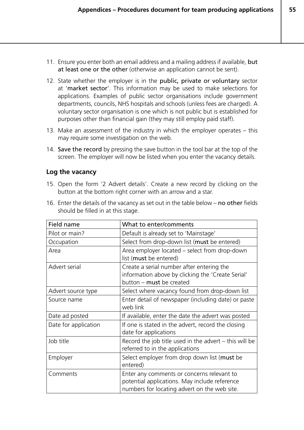- 11. Ensure you enter both an email address and a mailing address if available, but at least one or the other (otherwise an application cannot be sent).
- 12. State whether the employer is in the public, private or voluntary sector at 'market sector'. This information may be used to make selections for applications. Examples of public sector organisations include government departments, councils, NHS hospitals and schools (unless fees are charged). A voluntary sector organisation is one which is not public but is established for purposes other than financial gain (they may still employ paid staff).
- 13. Make an assessment of the industry in which the employer operates this may require some investigation on the web.
- 14. Save the record by pressing the save button in the tool bar at the top of the screen. The employer will now be listed when you enter the vacancy details.

#### **Log the vacancy**

15. Open the form '2 Advert details'. Create a new record by clicking on the button at the bottom right corner with an arrow and a star.

| should be filled in at this stage. |                                                                                                                                             |
|------------------------------------|---------------------------------------------------------------------------------------------------------------------------------------------|
| Field name                         | What to enter/comments                                                                                                                      |
| Pilot or main?                     | Default is already set to 'Mainstage'                                                                                                       |
| Occupation                         | Select from drop-down list (must be entered)                                                                                                |
| Area                               | Area employer located - select from drop-down<br>list (must be entered)                                                                     |
| Advert serial                      | Create a serial number after entering the<br>information above by clicking the 'Create Serial'<br>button - must be created                  |
| Advert source type                 | Select where vacancy found from drop-down list                                                                                              |
| Source name                        | Enter detail of newspaper (including date) or paste<br>web link                                                                             |
| Date ad posted                     | If available, enter the date the advert was posted                                                                                          |
| Date for application               | If one is stated in the advert, record the closing<br>date for applications                                                                 |
| Job title                          | Record the job title used in the advert $-$ this will be<br>referred to in the applications                                                 |
| Employer                           | Select employer from drop down list (must be<br>entered)                                                                                    |
| Comments                           | Enter any comments or concerns relevant to<br>potential applications. May include reference<br>numbers for locating advert on the web site. |

16. Enter the details of the vacancy as set out in the table below – no other fields should be filled in at this stage.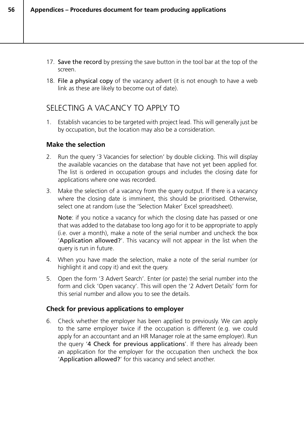- 17. Save the record by pressing the save button in the tool bar at the top of the screen.
- 18. File a physical copy of the vacancy advert (it is not enough to have a web link as these are likely to become out of date).

## SELECTING A VACANCY TO APPLY TO

1. Establish vacancies to be targeted with project lead. This will generally just be by occupation, but the location may also be a consideration.

#### **Make the selection**

**56**

- 2. Run the query '3 Vacancies for selection' by double clicking. This will display the available vacancies on the database that have not yet been applied for. The list is ordered in occupation groups and includes the closing date for applications where one was recorded.
- 3. Make the selection of a vacancy from the query output. If there is a vacancy where the closing date is imminent, this should be prioritised. Otherwise, select one at random (use the 'Selection Maker' Excel spreadsheet).

Note: if you notice a vacancy for which the closing date has passed or one that was added to the database too long ago for it to be appropriate to apply (i.e. over a month), make a note of the serial number and uncheck the box 'Application allowed?'. This vacancy will not appear in the list when the query is run in future.

- 4. When you have made the selection, make a note of the serial number (or highlight it and copy it) and exit the query.
- 5. Open the form '3 Advert Search'. Enter (or paste) the serial number into the form and click 'Open vacancy'. This will open the '2 Advert Details' form for this serial number and allow you to see the details.

#### **Check for previous applications to employer**

6. Check whether the employer has been applied to previously. We can apply to the same employer twice if the occupation is different (e.g. we could apply for an accountant and an HR Manager role at the same employer). Run the query '4 Check for previous applications'. If there has already been an application for the employer for the occupation then uncheck the box 'Application allowed?' for this vacancy and select another.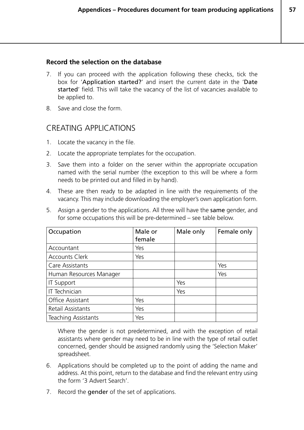#### **Record the selection on the database**

- 7. If you can proceed with the application following these checks, tick the box for 'Application started?' and insert the current date in the 'Date started' field. This will take the vacancy of the list of vacancies available to be applied to.
- 8. Save and close the form.

#### CREATING APPLICATIONS

- 1. Locate the vacancy in the file.
- 2. Locate the appropriate templates for the occupation.
- 3. Save them into a folder on the server within the appropriate occupation named with the serial number (the exception to this will be where a form needs to be printed out and filled in by hand).
- 4. These are then ready to be adapted in line with the requirements of the vacancy. This may include downloading the employer's own application form.
- 5. Assign a gender to the applications. All three will have the same gender, and for some occupations this will be pre-determined – see table below.

| Occupation                 | Male or<br>female | Male only | Female only |
|----------------------------|-------------------|-----------|-------------|
| Accountant                 | Yes               |           |             |
| <b>Accounts Clerk</b>      | Yes               |           |             |
| Care Assistants            |                   |           | Yes         |
| Human Resources Manager    |                   |           | Yes         |
| <b>IT Support</b>          |                   | Yes       |             |
| IT Technician              |                   | Yes       |             |
| <b>Office Assistant</b>    | Yes               |           |             |
| Retail Assistants          | Yes               |           |             |
| <b>Teaching Assistants</b> | Yes               |           |             |

Where the gender is not predetermined, and with the exception of retail assistants where gender may need to be in line with the type of retail outlet concerned, gender should be assigned randomly using the 'Selection Maker' spreadsheet.

- 6. Applications should be completed up to the point of adding the name and address. At this point, return to the database and find the relevant entry using the form '3 Advert Search'.
- 7. Record the **gender** of the set of applications.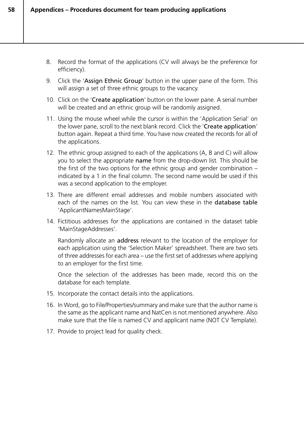- 8. Record the format of the applications (CV will always be the preference for efficiency).
- 9. Click the 'Assign Ethnic Group' button in the upper pane of the form. This will assign a set of three ethnic groups to the vacancy.
- 10. Click on the 'Create application' button on the lower pane. A serial number will be created and an ethnic group will be randomly assigned.
- 11. Using the mouse wheel while the cursor is within the 'Application Serial' on the lower pane, scroll to the next blank record. Click the 'Create application' button again. Repeat a third time. You have now created the records for all of the applications.
- 12. The ethnic group assigned to each of the applications (A, B and C) will allow you to select the appropriate name from the drop-down list. This should be the first of the two options for the ethnic group and gender combination – indicated by a 1 in the final column. The second name would be used if this was a second application to the employer.
- 13. There are different email addresses and mobile numbers associated with each of the names on the list. You can view these in the database table 'ApplicantNamesMainStage'.
- 14. Fictitious addresses for the applications are contained in the dataset table 'MainStageAddresses'.

Randomly allocate an address relevant to the location of the employer for each application using the 'Selection Maker' spreadsheet. There are two sets of three addresses for each area – use the first set of addresses where applying to an employer for the first time.

Once the selection of the addresses has been made, record this on the database for each template.

- 15. Incorporate the contact details into the applications.
- 16. In Word, go to File/Properties/summary and make sure that the author name is the same as the applicant name and NatCen is not mentioned anywhere. Also make sure that the file is named CV and applicant name (NOT CV Template).
- 17. Provide to project lead for quality check.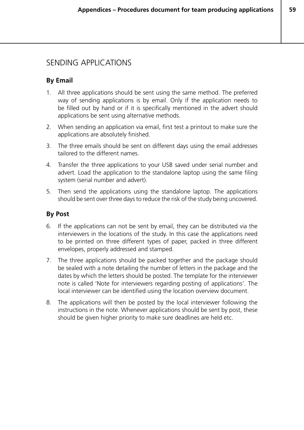### SENDING APPLICATIONS

#### **By Email**

- 1. All three applications should be sent using the same method. The preferred way of sending applications is by email. Only if the application needs to be filled out by hand or if it is specifically mentioned in the advert should applications be sent using alternative methods.
- 2. When sending an application via email, first test a printout to make sure the applications are absolutely finished.
- 3. The three emails should be sent on different days using the email addresses tailored to the different names.
- 4. Transfer the three applications to your USB saved under serial number and advert. Load the application to the standalone laptop using the same filing system (serial number and advert).
- 5. Then send the applications using the standalone laptop. The applications should be sent over three days to reduce the risk of the study being uncovered.

#### **By Post**

- 6. If the applications can not be sent by email, they can be distributed via the interviewers in the locations of the study. In this case the applications need to be printed on three different types of paper, packed in three different envelopes, properly addressed and stamped.
- 7. The three applications should be packed together and the package should be sealed with a note detailing the number of letters in the package and the dates by which the letters should be posted. The template for the interviewer note is called 'Note for interviewers regarding posting of applications'. The local interviewer can be identified using the location overview document.
- 8. The applications will then be posted by the local interviewer following the instructions in the note. Whenever applications should be sent by post, these should be given higher priority to make sure deadlines are held etc.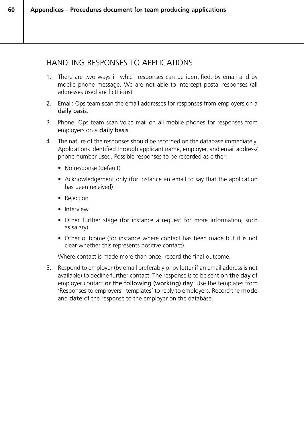### HANDLING RESPONSES TO APPLICATIONS

- 1. There are two ways in which responses can be identified: by email and by mobile phone message. We are not able to intercept postal responses (all addresses used are fictitious).
- 2. Email: Ops team scan the email addresses for responses from employers on a daily basis.
- 3. Phone: Ops team scan voice mail on all mobile phones for responses from employers on a daily basis.
- 4. The nature of the responses should be recorded on the database immediately. Applications identified through applicant name, employer, and email address/ phone number used. Possible responses to be recorded as either:
	- No response (default)
	- Acknowledgement only (for instance an email to say that the application has been received)
	- Rejection

**60**

- Interview
- Other further stage (for instance a request for more information, such as salary)
- Other outcome (for instance where contact has been made but it is not clear whether this represents positive contact).

Where contact is made more than once, record the final outcome.

5. Respond to employer (by email preferably or by letter if an email address is not available) to decline further contact. The response is to be sent on the day of employer contact or the following (working) day. Use the templates from 'Responses to employers –templates' to reply to employers. Record the mode and **date** of the response to the employer on the database.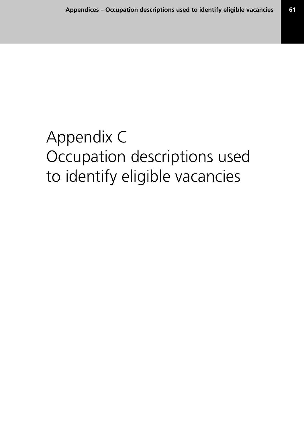# Appendix C Occupation descriptions used to identify eligible vacancies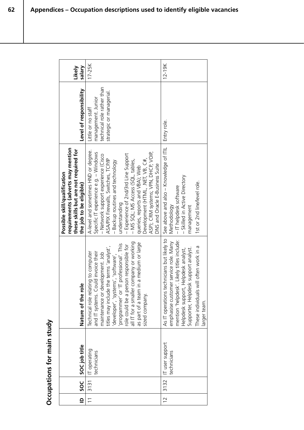| $\mathbf{r}$   | SOC<br>SO        | SOC job title                        | $\mathbf{\Omega}$<br>Nature of the rol                                                                                                                                                                                                                                                                                                                                                            | requirements (adverts may mention<br>these skills but are not required for<br>Possible skill/qualification<br>the job to be eligible)                                                                                                                                                                                                                                                                                                       | Level of responsibility                                                                            | Likely<br>salary |
|----------------|------------------|--------------------------------------|---------------------------------------------------------------------------------------------------------------------------------------------------------------------------------------------------------------------------------------------------------------------------------------------------------------------------------------------------------------------------------------------------|---------------------------------------------------------------------------------------------------------------------------------------------------------------------------------------------------------------------------------------------------------------------------------------------------------------------------------------------------------------------------------------------------------------------------------------------|----------------------------------------------------------------------------------------------------|------------------|
| $\equiv$       |                  | 3131   IT operating<br>technicians   | all IT for a smaller company or working<br>in a medium or large<br>IT professional'. This<br>role could be a person responsible for<br>titles may include the terms 'analyst',<br>and IT systems. Could invoice their<br>Technical role relating to computer<br>maintenance or development. Job<br>developer', 'systems', 'software',<br>programmer' or 'I<br>as part of a team<br>sized company. | A-level and sometimes HND or degree.<br>Specific IT experience e.g. - Windows<br>ASP); CRM systems; VPN, DHCP, VOIP,<br>Experience of 2nd/3rd Line Support<br>- Network support experience (Cisco<br>ASA/PIX Firewalls, Switches, TCP/IP<br>Development (HTML, .NET, VB, C#,<br>– MS SQL; MS Access (SQL, tables,<br>- Backup routines and technology<br>DNS and Oracle E-Business Suite<br>queries, reports and VBA); Web<br>understanding | technical role rather than<br>strategic or managerial.<br>management. Junior<br>Little or no staff | 17-25K           |
| $\overline{C}$ | $\frac{3132}{ }$ | $\Gamma$ user support<br>technicians | As IT operations technicians but likely to<br>mention 'helpdesk'. Likely titles include:<br>er service role. Many<br>These individuals will often work in a<br>Supporter, Helpdesk support analyst.<br>Helpdesk support, Helpdesk analyst,<br>emphasise custom<br>larger team.                                                                                                                    | See above and also – Knowledge of ITIL<br>- Skilled in Active Directory<br>1st or 2nd line/level role.<br>- IT helpdesk software<br>Methodology<br>management                                                                                                                                                                                                                                                                               | Entry role.                                                                                        | $12 - 19K$       |

Occupations for main study **Occupations for main study**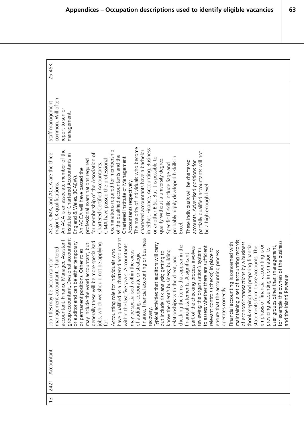| 25-45K                                                                                                                                                                                                                                                                                                                                                                                                                                                                                                                                                                                                                                                                                                                                                                                                                                                                                                                                                                                                                                                                                                                                                                                                                                                                                                                                                                                                                                                                                                                                                                                  |
|-----------------------------------------------------------------------------------------------------------------------------------------------------------------------------------------------------------------------------------------------------------------------------------------------------------------------------------------------------------------------------------------------------------------------------------------------------------------------------------------------------------------------------------------------------------------------------------------------------------------------------------------------------------------------------------------------------------------------------------------------------------------------------------------------------------------------------------------------------------------------------------------------------------------------------------------------------------------------------------------------------------------------------------------------------------------------------------------------------------------------------------------------------------------------------------------------------------------------------------------------------------------------------------------------------------------------------------------------------------------------------------------------------------------------------------------------------------------------------------------------------------------------------------------------------------------------------------------|
| common. Will often<br>Staff management<br>report to senio<br>management.                                                                                                                                                                                                                                                                                                                                                                                                                                                                                                                                                                                                                                                                                                                                                                                                                                                                                                                                                                                                                                                                                                                                                                                                                                                                                                                                                                                                                                                                                                                |
| The majority of individuals who become<br>in either, Finance, Accounting, Business<br>chartered accountants have a bachelor<br>An ACA is an associate member of the<br>examinations required for membership<br>partially qualified accountants will not<br>ACA, CIMA, and ACCA are the three<br>for membership of the Association of<br>Institute of Chartered Accountants in<br>of the qualified accountants and the<br>probably highly developed h skills in<br>Chartered Institute of Management<br>or another B.Sc. But it is possible to<br>CIMA have passed the professional<br>professional examinations required<br>qualify without a university degree.<br>These individuals will be chartered<br>accounts. Advertised positions for<br>Specific IT skills include Sage and<br>Chartered Certified Accountants.<br>An ACCA will have passed the<br>England & Wales. (ICAEW)<br>Accountants respectively.<br>major UK qualifications.<br>be a high enough level.<br>Excel.                                                                                                                                                                                                                                                                                                                                                                                                                                                                                                                                                                                                      |
| have qualified as a chartered accountant<br>group accountant, Divisional accountant<br>finance, financial accounting or business<br>accountant, Finance Manager, Assistant<br>accounting records<br>for example the owners of the business<br>be more specialised<br>or auditor and can be either temporary<br>of economic transactions by a business<br>Financial accounting is concerned with<br>jobs, which we should not be applying<br>: auditors will carry<br>may include the word accountant, but<br>emphasis of financial accounting is on<br>within the last five years. Accountants<br>preparing financial<br>that appear in the<br>statements from those accounts. The<br>user groups other than management,<br>to assess whether there are sufficient<br>process involves<br>management accountant. Chartered<br>reviewing the organisation's systems<br>relevant controls (checks) in place to<br>providing accounting information to<br>or permanent positions. Other roles<br>individuals who<br>may be specialised within the areas<br>know the client's business; building<br>ensure that the accounting process<br>out include risk analysis; getting to<br>of auditing, corporate or strategic<br>financial statements. A significant<br>le client, and<br>Job titles may be accountant or<br>and the Inland Revenue.<br>part of the checking<br>Typical activities that<br>relationships with th<br>checking the items t<br>Accounting role for<br>maintaining a set of<br>generally these will<br>(bookkeeping) and<br>operates correctly.<br>recovery.<br>.<br>∫ |
| Accountant                                                                                                                                                                                                                                                                                                                                                                                                                                                                                                                                                                                                                                                                                                                                                                                                                                                                                                                                                                                                                                                                                                                                                                                                                                                                                                                                                                                                                                                                                                                                                                              |
| 2421<br>$\frac{1}{2}$                                                                                                                                                                                                                                                                                                                                                                                                                                                                                                                                                                                                                                                                                                                                                                                                                                                                                                                                                                                                                                                                                                                                                                                                                                                                                                                                                                                                                                                                                                                                                                   |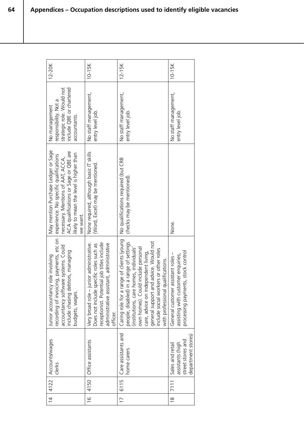| 12-20K                                                                                                                                                                                                             | $10-15K$                                                                                                                                                                                  | $12 - 15K$                                                                                                                                                                                                                                                                                                                                      | 10-15K                                                                                                            |
|--------------------------------------------------------------------------------------------------------------------------------------------------------------------------------------------------------------------|-------------------------------------------------------------------------------------------------------------------------------------------------------------------------------------------|-------------------------------------------------------------------------------------------------------------------------------------------------------------------------------------------------------------------------------------------------------------------------------------------------------------------------------------------------|-------------------------------------------------------------------------------------------------------------------|
| strategic role. Would not<br>include QBE or chartered<br>responsibility. Not a<br>No management<br>accountants.                                                                                                    | No staff management,<br>entry level job.                                                                                                                                                  | No staff management,<br>entry level job.                                                                                                                                                                                                                                                                                                        | No staff management,<br>entry level job.                                                                          |
| May mention Purchase Ledger or Sage<br>ACA qualifications or Sage or QBE are<br>likely to mean the level is higher than<br>experience. No specific qualifications<br>necessary. Mentions of AAT, ACCA,<br>we want. | None required, although basic IT skills<br>(Word, Excel) may be mentioned.                                                                                                                | No qualifications required (but CRB<br>checks may be mentioned).                                                                                                                                                                                                                                                                                | None.                                                                                                             |
| recording of invoicing, payments, etc on<br>accountancy software systems. Could<br>include chasing debtors, managing<br>Junior accountancy role involving<br>budgets, wages.                                       | receptionist. Potential job titles include<br>Very broad role - junior administrative.<br>administrative assistant, administrative<br>Does not include specific roles such as<br>officer. | Caring role for a range of clients (young<br>general support and advice. Would not<br>people, disabled) in a range of settings<br>nomes, individuals'<br>Id include personal<br>include social workers or other roles<br>care, advice on independent living,<br>qualifications.<br>own homes). Coul<br>(institutions, care<br>with professional | processing payments, stock control<br>assistant roles -<br>assisting with customer enquiries,<br>General customer |
| 4122   Accounts/wages<br>clerks                                                                                                                                                                                    | Office assistants                                                                                                                                                                         | Care assistants and<br>home carers                                                                                                                                                                                                                                                                                                              | department stores)<br>street stores and<br>assistants (high<br>Sales and retail                                   |
|                                                                                                                                                                                                                    | 4150                                                                                                                                                                                      | 6115                                                                                                                                                                                                                                                                                                                                            | 711                                                                                                               |
| $\frac{1}{4}$                                                                                                                                                                                                      | $\frac{6}{1}$                                                                                                                                                                             | $\overline{1}$                                                                                                                                                                                                                                                                                                                                  | $\frac{8}{1}$                                                                                                     |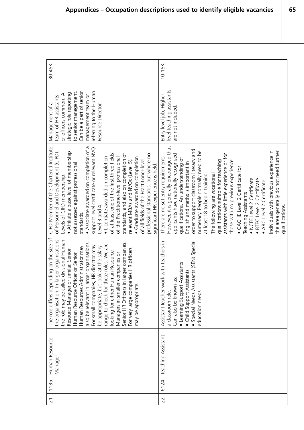| 30-45K                                                                                                                                                                                                                                                                                                                                                                                                                                                                                                                                                                                                                                                                                     | $10-15K$                                                                                                                                                                                                                                                                                                                                                                                                                                                                                                                                                                                                                                                                                                                                         |
|--------------------------------------------------------------------------------------------------------------------------------------------------------------------------------------------------------------------------------------------------------------------------------------------------------------------------------------------------------------------------------------------------------------------------------------------------------------------------------------------------------------------------------------------------------------------------------------------------------------------------------------------------------------------------------------------|--------------------------------------------------------------------------------------------------------------------------------------------------------------------------------------------------------------------------------------------------------------------------------------------------------------------------------------------------------------------------------------------------------------------------------------------------------------------------------------------------------------------------------------------------------------------------------------------------------------------------------------------------------------------------------------------------------------------------------------------------|
| referring to the Human<br>to senior management.<br>Can be a part of senior<br>strategic role reporting<br>or officers common. A<br>management team or<br>team of HR assistants<br>Management of a<br>Resource Director.                                                                                                                                                                                                                                                                                                                                                                                                                                                                    | level teaching assistants<br>Entry level job, Higher<br>are not included                                                                                                                                                                                                                                                                                                                                                                                                                                                                                                                                                                                                                                                                         |
| • Associate awarded on completion of a<br>CIPD Member of the Chartered Institute<br>support level certificate or relevant NVQ<br>• Affiliate a basic level of membership<br>of Personnel and Development (CIPD).<br>of at least one of the first three fields<br>standards, and also on completion of<br>professional standards, but where no<br>• Licentiate awarded on completion<br>of the Practitioner-level professional<br>• Graduate awarded on completion<br>relevant MBAs and NVQs (Level 5).<br>of all fields of the Practitioner-level<br>not assessed against professional<br>significant HR experience is held.<br>Levels of CIPD membership.<br>Level 3 and 4.<br>standards. | However, it is generally encouraged that<br>order to support classroom literacy and<br>numeracy. People normally need to be<br>Individuals with previous experience in<br>the area generally do not need further<br>assistants with little experience or for<br>applicants have nationally recognised<br>There are no set entry requirements.<br>qualifications. An understanding of<br>those with no previous experience:<br>qualifications suitable for teaching<br>English and maths is important in<br>• CACHE Level 2 Certificate for<br>at least 18 to begin training.<br>The following are vocational<br>· NCFE Level 2 Certificate<br>· BTEC Level 2 Certificate<br>• ABC Level 2 Certificate.<br>Teaching Assistants<br>qualifications. |
| The role differs depending on the size of<br>larger organisations,<br>the role may be called divisional Human<br>also be relevant in larger organisations.<br>Senior HR Officers in larger companies.<br>range to check for these roles. We are<br>For small companies, HR director may<br>be appropriate, but look at the salary<br>Human Resources Administrator may<br>For very large companies HR officers<br>Resource Manager or similar. Senior<br>looking for either Human Resource<br>Managers in smaller companies or<br>Human Resource Officer or Senior<br>may be appropriate.<br>the organisation. In                                                                          | Assistant teacher work with teachers in<br>· Special Needs Assistants (SEN) Special<br>Assistants<br>Child Support Assistants<br>GS:<br>Can also be known<br>· Learning Support<br>education needs<br>a classroom role.                                                                                                                                                                                                                                                                                                                                                                                                                                                                                                                          |
| Human Resource<br>Manager                                                                                                                                                                                                                                                                                                                                                                                                                                                                                                                                                                                                                                                                  | Teaching Assistant                                                                                                                                                                                                                                                                                                                                                                                                                                                                                                                                                                                                                                                                                                                               |
| 1135                                                                                                                                                                                                                                                                                                                                                                                                                                                                                                                                                                                                                                                                                       | 6124                                                                                                                                                                                                                                                                                                                                                                                                                                                                                                                                                                                                                                                                                                                                             |
| $\overline{2}1$                                                                                                                                                                                                                                                                                                                                                                                                                                                                                                                                                                                                                                                                            | 22                                                                                                                                                                                                                                                                                                                                                                                                                                                                                                                                                                                                                                                                                                                                               |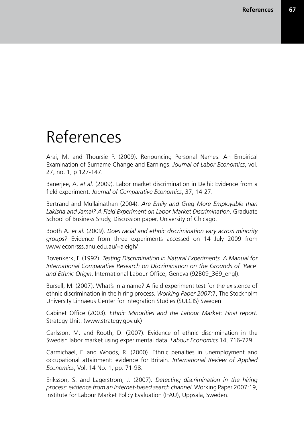## References

Arai, M. and Thoursie P. (2009). Renouncing Personal Names: An Empirical Examination of Surname Change and Earnings. *Journal of Labor Economics*, vol. 27, no. 1, p 127-147.

Banerjee, A. *et al.* (2009). Labor market discrimination in Delhi: Evidence from a field experiment. *Journal of Comparative Economics*, 37, 14-27.

Bertrand and Mullainathan (2004). *Are Emily and Greg More Employable than Lakisha and Jamal? A Field Experiment on Labor Market Discrimination*. Graduate School of Business Study, Discussion paper, University of Chicago.

Booth A. *et al.* (2009). *Does racial and ethnic discrimination vary across minority groups?* Evidence from three experiments accessed on 14 July 2009 from www.econrsss.anu.edu.au/~aleigh/

Bovenkerk, F. (1992). *Testing Discrimination in Natural Experiments. A Manual for International Comparative Research on Discrimination on the Grounds of 'Race' and Ethnic Origin*. International Labour Office, Geneva (92B09\_369\_engl).

Bursell, M. (2007). What's in a name? A field experiment test for the existence of ethnic discrimination in the hiring process. *Working Paper 2007*:7, The Stockholm University Linnaeus Center for Integration Studies (SULCIS) Sweden.

Cabinet Office (2003). *Ethnic Minorities and the Labour Market: Final report*. Strategy Unit. (www.strategy.gov.uk)

Carlsson, M. and Rooth, D. (2007). Evidence of ethnic discrimination in the Swedish labor market using experimental data. *Labour Economics* 14, 716-729.

Carmichael, F. and Woods, R. (2000). Ethnic penalties in unemployment and occupational attainment: evidence for Britain. *International Review of Applied Economics*, Vol. 14 No. 1, pp. 71-98.

Eriksson, S. and Lagerstrom, J. (2007). *Detecting discrimination in the hiring process: evidence from an Internet-based search channel*. Working Paper 2007:19, Institute for Labour Market Policy Evaluation (IFAU), Uppsala, Sweden.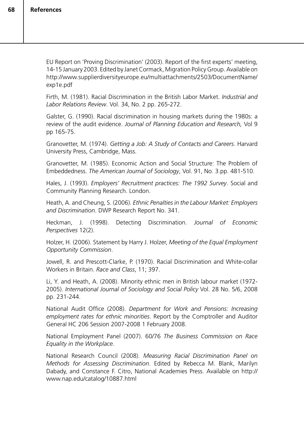EU Report on 'Proving Discrimination' (2003). Report of the first experts' meeting, 14-15 January 2003. Edited by Janet Cormack, Migration Policy Group. Available on http://www.supplierdiversityeurope.eu/multiattachments/2503/DocumentName/ exp1e.pdf

Firth, M. (1981). Racial Discrimination in the British Labor Market. *Industrial and Labor Relations Review*. Vol. 34, No. 2 pp. 265-272.

Galster, G. (1990). Racial discrimination in housing markets during the 1980s: a review of the audit evidence. *Journal of Planning Education and Research,* Vol 9 pp 165-75.

Granovetter, M. (1974). *Getting a Job: A Study of Contacts and Careers*. Harvard University Press, Cambridge, Mass.

Granovetter, M. (1985). Economic Action and Social Structure: The Problem of Embeddedness. *The American Journal of Sociology*, Vol. 91, No. 3.pp. 481-510.

Hales, J. (1993). *Employers' Recruitment practices: The 1992 Survey*. Social and Community Planning Research. London.

Heath, A. and Cheung, S. (2006). *Ethnic Penalties in the Labour Market: Employers and Discrimination*. DWP Research Report No. 341.

Heckman, J. (1998). Detecting Discrimination. *Journal of Economic Perspectives* 12(2).

Holzer, H. (2006). Statement by Harry J. Holzer, *Meeting of the Equal Employment Opportunity Commission*.

Jowell, R. and Prescott-Clarke, P. (1970). Racial Discrimination and White-collar Workers in Britain. *Race and Class*, 11; 397.

Li, Y. and Heath, A. (2008). Minority ethnic men in British labour market (1972- 2005). *International Journal of Sociology and Social Policy* Vol. 28 No. 5/6, 2008 pp. 231-244.

National Audit Office (2008). *Department for Work and Pensions: Increasing employment rates for ethnic minorities*. Report by the Comptroller and Auditor General HC 206 Session 2007-2008 1 February 2008.

National Employment Panel (2007). 60/76 *The Business Commission on Race Equality in the Workplace*.

National Research Council (2008). *Measuring Racial Discrimination Panel on Methods for Assessing Discrimination*. Edited by Rebecca M. Blank, Marilyn Dabady, and Constance F. Citro, National Academies Press. Available on http:// www.nap.edu/catalog/10887.html